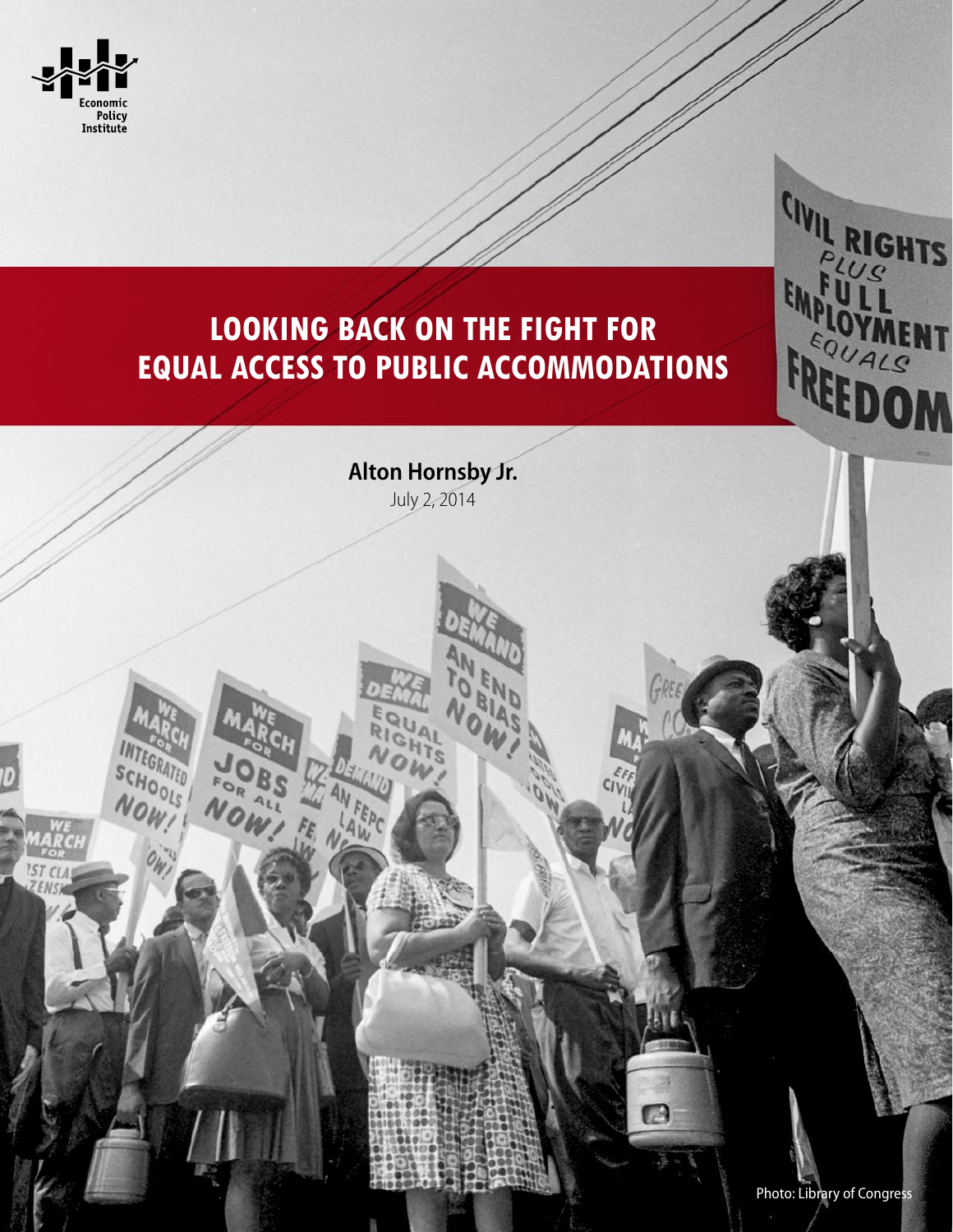

**INTEGRATED** 

**Bs** 

 $\frac{1}{8}$ 

NOW.

SCHOOLS

NOW!

**IST CLA** 

# **Looking back on the fight for equal access to public accommodations**

**Alton Hornsby Jr.** July 2, 2014

AL

HT'S OM

 $\Box$ 

CIVIL RIGHTS

EMPLOYMENT

FREEDOM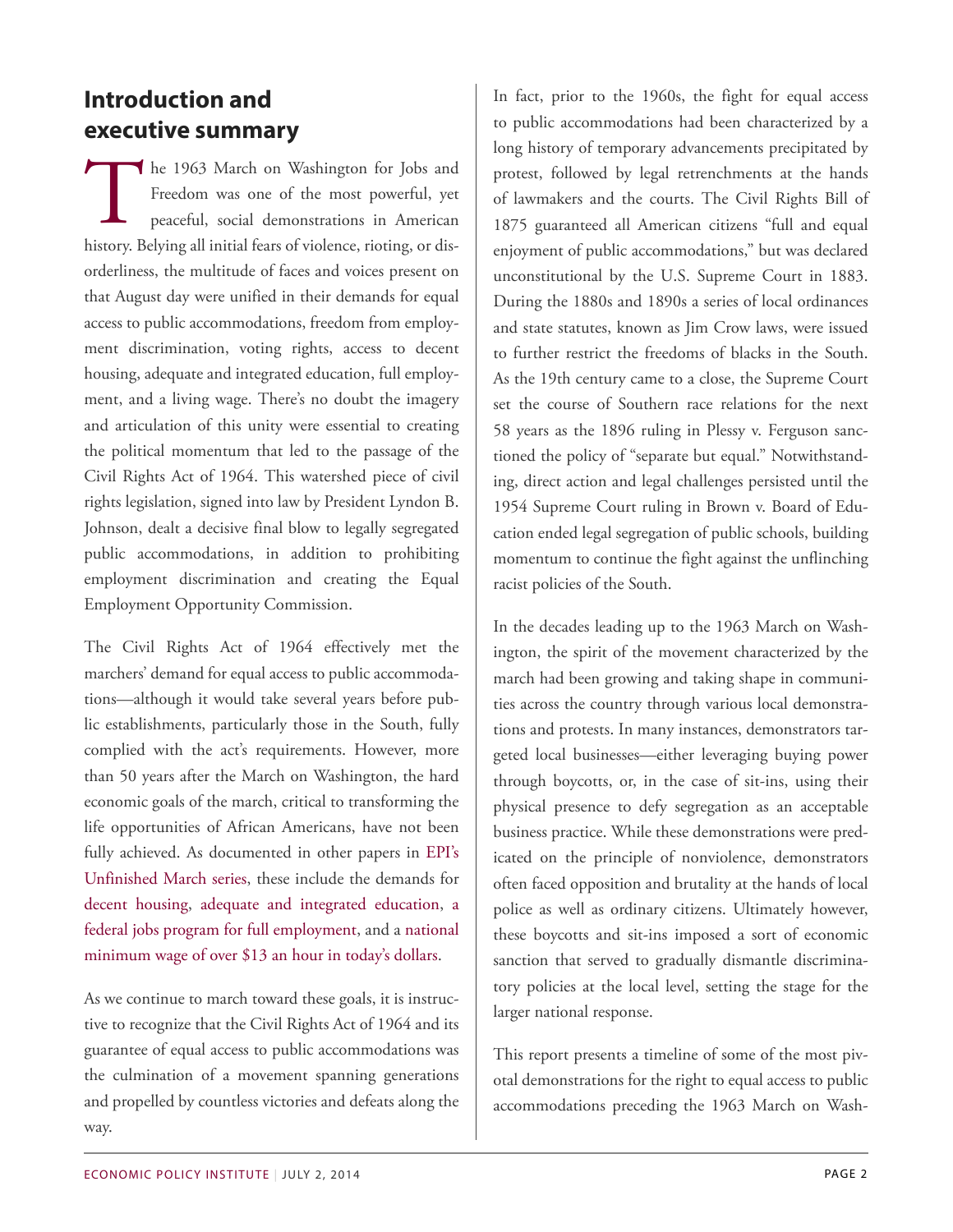### **Introduction and executive summary**

The 1963 March on Washington for Jobs and<br>Freedom was one of the most powerful, yet<br>peaceful, social demonstrations in American<br>history. Belying all initial fears of violence, rioting, or dishe 1963 March on Washington for Jobs and Freedom was one of the most powerful, yet peaceful, social demonstrations in American orderliness, the multitude of faces and voices present on that August day were unified in their demands for equal access to public accommodations, freedom from employment discrimination, voting rights, access to decent housing, adequate and integrated education, full employment, and a living wage. There's no doubt the imagery and articulation of this unity were essential to creating the political momentum that led to the passage of the Civil Rights Act of 1964. This watershed piece of civil rights legislation, signed into law by President Lyndon B. Johnson, dealt a decisive final blow to legally segregated public accommodations, in addition to prohibiting employment discrimination and creating the Equal Employment Opportunity Commission.

The Civil Rights Act of 1964 effectively met the marchers' demand for equal access to public accommodations—although it would take several years before public establishments, particularly those in the South, fully complied with the act's requirements. However, more than 50 years after the March on Washington, the hard economic goals of the march, critical to transforming the life opportunities of African Americans, have not been fully achieved. As documented in other papers in [EPI's](http://www.epi.org/unfinished-march/) [Unfinished](http://www.epi.org/unfinished-march/) March series, these include the demands for decent [housing,](http://www.epi.org/publication/unfinished-march-overview/) adequate and [integrated](http://www.epi.org/publication/unfinished-march-public-school-segregation/) education, [a](http://www.epi.org/publication/unfinished-march-jobs-fiscal-policy-shift/) federal jobs program for full [employment](http://www.epi.org/publication/unfinished-march-jobs-fiscal-policy-shift/), and a [national](http://www.epi.org/publication/work-dignity-unfinished-march-decent-minimum/) [minimum wage of over \\$13 an hour in today's dollars](http://www.epi.org/publication/work-dignity-unfinished-march-decent-minimum/).

As we continue to march toward these goals, it is instructive to recognize that the Civil Rights Act of 1964 and its guarantee of equal access to public accommodations was the culmination of a movement spanning generations and propelled by countless victories and defeats along the way.

In fact, prior to the 1960s, the fight for equal access to public accommodations had been characterized by a long history of temporary advancements precipitated by protest, followed by legal retrenchments at the hands of lawmakers and the courts. The Civil Rights Bill of 1875 guaranteed all American citizens "full and equal enjoyment of public accommodations," but was declared unconstitutional by the U.S. Supreme Court in 1883. During the 1880s and 1890s a series of local ordinances and state statutes, known as Jim Crow laws, were issued to further restrict the freedoms of blacks in the South. As the 19th century came to a close, the Supreme Court set the course of Southern race relations for the next 58 years as the 1896 ruling in Plessy v. Ferguson sanctioned the policy of "separate but equal." Notwithstanding, direct action and legal challenges persisted until the 1954 Supreme Court ruling in Brown v. Board of Education ended legal segregation of public schools, building momentum to continue the fight against the unflinching racist policies of the South.

In the decades leading up to the 1963 March on Washington, the spirit of the movement characterized by the march had been growing and taking shape in communities across the country through various local demonstrations and protests. In many instances, demonstrators targeted local businesses—either leveraging buying power through boycotts, or, in the case of sit-ins, using their physical presence to defy segregation as an acceptable business practice. While these demonstrations were predicated on the principle of nonviolence, demonstrators often faced opposition and brutality at the hands of local police as well as ordinary citizens. Ultimately however, these boycotts and sit-ins imposed a sort of economic sanction that served to gradually dismantle discriminatory policies at the local level, setting the stage for the larger national response.

This report presents a timeline of some of the most pivotal demonstrations for the right to equal access to public accommodations preceding the 1963 March on Wash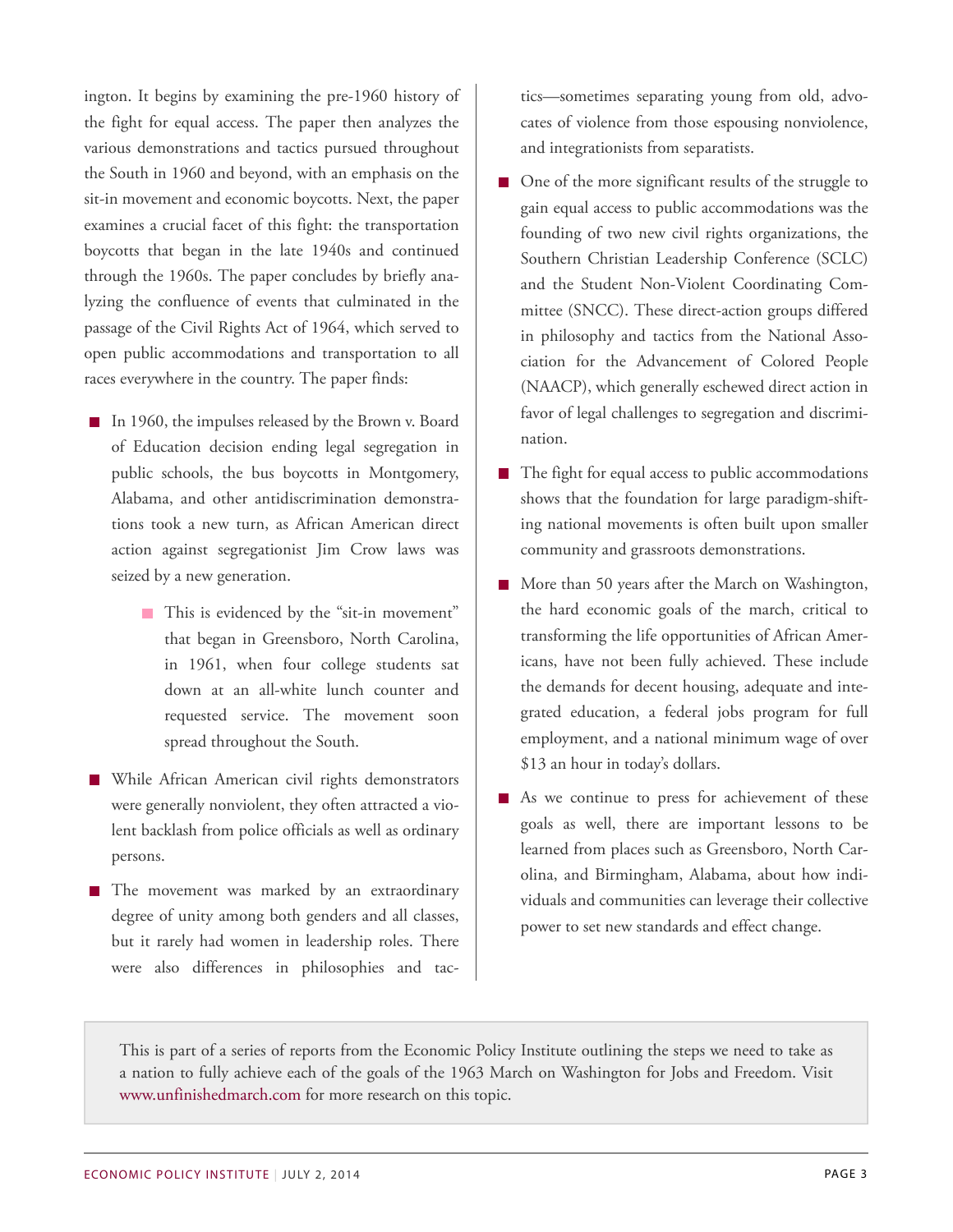ington. It begins by examining the pre-1960 history of the fight for equal access. The paper then analyzes the various demonstrations and tactics pursued throughout the South in 1960 and beyond, with an emphasis on the sit-in movement and economic boycotts. Next, the paper examines a crucial facet of this fight: the transportation boycotts that began in the late 1940s and continued through the 1960s. The paper concludes by briefly analyzing the confluence of events that culminated in the passage of the Civil Rights Act of 1964, which served to open public accommodations and transportation to all races everywhere in the country. The paper finds:

- In 1960, the impulses released by the Brown v. Board of Education decision ending legal segregation in public schools, the bus boycotts in Montgomery, Alabama, and other antidiscrimination demonstrations took a new turn, as African American direct action against segregationist Jim Crow laws was seized by a new generation.
	- This is evidenced by the "sit-in movement" that began in Greensboro, North Carolina, in 1961, when four college students sat down at an all-white lunch counter and requested service. The movement soon spread throughout the South.
- **While African American civil rights demonstrators** were generally nonviolent, they often attracted a violent backlash from police officials as well as ordinary persons.
- The movement was marked by an extraordinary degree of unity among both genders and all classes, but it rarely had women in leadership roles. There were also differences in philosophies and tac-

tics—sometimes separating young from old, advocates of violence from those espousing nonviolence, and integrationists from separatists.

- One of the more significant results of the struggle to gain equal access to public accommodations was the founding of two new civil rights organizations, the Southern Christian Leadership Conference (SCLC) and the Student Non-Violent Coordinating Committee (SNCC). These direct-action groups differed in philosophy and tactics from the National Association for the Advancement of Colored People (NAACP), which generally eschewed direct action in favor of legal challenges to segregation and discrimination.
- The fight for equal access to public accommodations shows that the foundation for large paradigm-shifting national movements is often built upon smaller community and grassroots demonstrations.
- More than 50 years after the March on Washington, the hard economic goals of the march, critical to transforming the life opportunities of African Americans, have not been fully achieved. These include the demands for decent housing, adequate and integrated education, a federal jobs program for full employment, and a national minimum wage of over \$13 an hour in today's dollars.
- As we continue to press for achievement of these goals as well, there are important lessons to be learned from places such as Greensboro, North Carolina, and Birmingham, Alabama, about how individuals and communities can leverage their collective power to set new standards and effect change.

This is part of a series of reports from the Economic Policy Institute outlining the steps we need to take as a nation to fully achieve each of the goals of the 1963 March on Washington for Jobs and Freedom. Visit [www.unfinishedmarch.com](http://www.unfinishedmarch.com) for more research on this topic.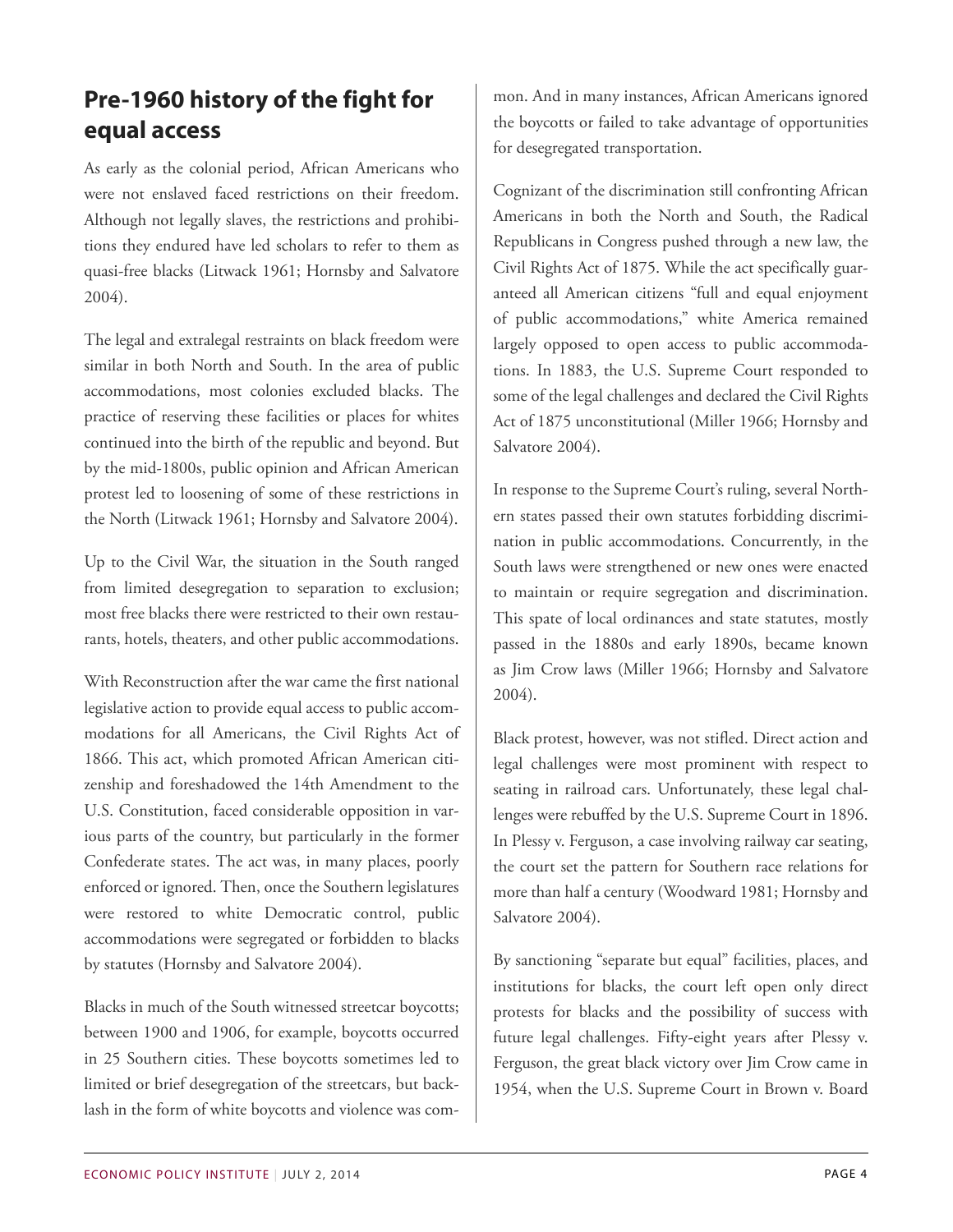# **Pre-1960 history of the fight for equal access**

As early as the colonial period, African Americans who were not enslaved faced restrictions on their freedom. Although not legally slaves, the restrictions and prohibitions they endured have led scholars to refer to them as quasi-free blacks (Litwack 1961; Hornsby and Salvatore 2004).

The legal and extralegal restraints on black freedom were similar in both North and South. In the area of public accommodations, most colonies excluded blacks. The practice of reserving these facilities or places for whites continued into the birth of the republic and beyond. But by the mid-1800s, public opinion and African American protest led to loosening of some of these restrictions in the North (Litwack 1961; Hornsby and Salvatore 2004).

Up to the Civil War, the situation in the South ranged from limited desegregation to separation to exclusion; most free blacks there were restricted to their own restaurants, hotels, theaters, and other public accommodations.

With Reconstruction after the war came the first national legislative action to provide equal access to public accommodations for all Americans, the Civil Rights Act of 1866. This act, which promoted African American citizenship and foreshadowed the 14th Amendment to the U.S. Constitution, faced considerable opposition in various parts of the country, but particularly in the former Confederate states. The act was, in many places, poorly enforced or ignored. Then, once the Southern legislatures were restored to white Democratic control, public accommodations were segregated or forbidden to blacks by statutes (Hornsby and Salvatore 2004).

Blacks in much of the South witnessed streetcar boycotts; between 1900 and 1906, for example, boycotts occurred in 25 Southern cities. These boycotts sometimes led to limited or brief desegregation of the streetcars, but backlash in the form of white boycotts and violence was com-

mon. And in many instances, African Americans ignored the boycotts or failed to take advantage of opportunities for desegregated transportation.

Cognizant of the discrimination still confronting African Americans in both the North and South, the Radical Republicans in Congress pushed through a new law, the Civil Rights Act of 1875. While the act specifically guaranteed all American citizens "full and equal enjoyment of public accommodations," white America remained largely opposed to open access to public accommodations. In 1883, the U.S. Supreme Court responded to some of the legal challenges and declared the Civil Rights Act of 1875 unconstitutional (Miller 1966; Hornsby and Salvatore 2004).

In response to the Supreme Court's ruling, several Northern states passed their own statutes forbidding discrimination in public accommodations. Concurrently, in the South laws were strengthened or new ones were enacted to maintain or require segregation and discrimination. This spate of local ordinances and state statutes, mostly passed in the 1880s and early 1890s, became known as Jim Crow laws (Miller 1966; Hornsby and Salvatore 2004).

Black protest, however, was not stifled. Direct action and legal challenges were most prominent with respect to seating in railroad cars. Unfortunately, these legal challenges were rebuffed by the U.S. Supreme Court in 1896. In Plessy v. Ferguson, a case involving railway car seating, the court set the pattern for Southern race relations for more than half a century (Woodward 1981; Hornsby and Salvatore 2004).

By sanctioning "separate but equal" facilities, places, and institutions for blacks, the court left open only direct protests for blacks and the possibility of success with future legal challenges. Fifty-eight years after Plessy v. Ferguson, the great black victory over Jim Crow came in 1954, when the U.S. Supreme Court in Brown v. Board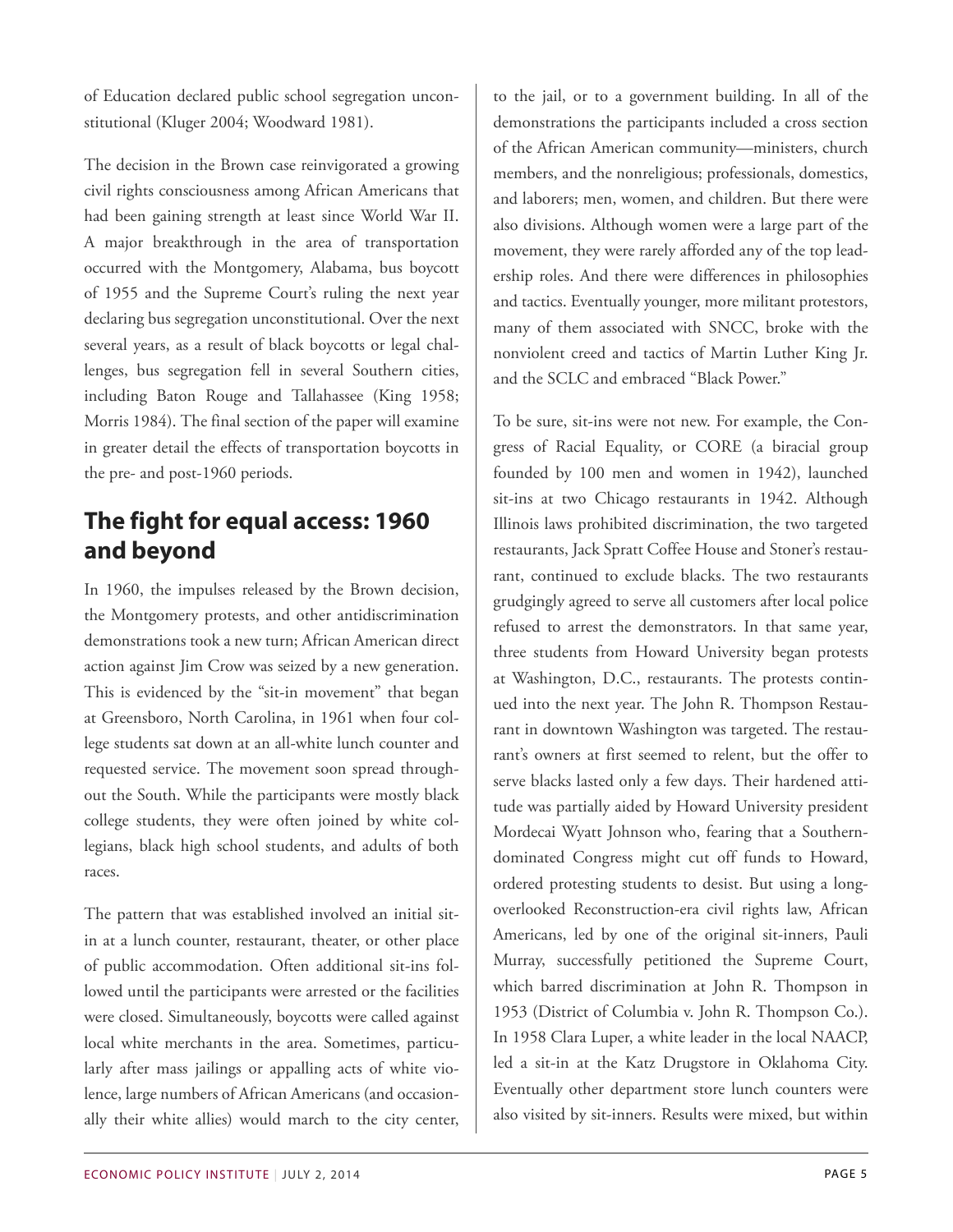of Education declared public school segregation unconstitutional (Kluger 2004; Woodward 1981).

The decision in the Brown case reinvigorated a growing civil rights consciousness among African Americans that had been gaining strength at least since World War II. A major breakthrough in the area of transportation occurred with the Montgomery, Alabama, bus boycott of 1955 and the Supreme Court's ruling the next year declaring bus segregation unconstitutional. Over the next several years, as a result of black boycotts or legal challenges, bus segregation fell in several Southern cities, including Baton Rouge and Tallahassee (King 1958; Morris 1984). The final section of the paper will examine in greater detail the effects of transportation boycotts in the pre- and post-1960 periods.

# **The fight for equal access: 1960 and beyond**

In 1960, the impulses released by the Brown decision, the Montgomery protests, and other antidiscrimination demonstrations took a new turn; African American direct action against Jim Crow was seized by a new generation. This is evidenced by the "sit-in movement" that began at Greensboro, North Carolina, in 1961 when four college students sat down at an all-white lunch counter and requested service. The movement soon spread throughout the South. While the participants were mostly black college students, they were often joined by white collegians, black high school students, and adults of both races.

The pattern that was established involved an initial sitin at a lunch counter, restaurant, theater, or other place of public accommodation. Often additional sit-ins followed until the participants were arrested or the facilities were closed. Simultaneously, boycotts were called against local white merchants in the area. Sometimes, particularly after mass jailings or appalling acts of white violence, large numbers of African Americans (and occasionally their white allies) would march to the city center,

to the jail, or to a government building. In all of the demonstrations the participants included a cross section of the African American community—ministers, church members, and the nonreligious; professionals, domestics, and laborers; men, women, and children. But there were also divisions. Although women were a large part of the movement, they were rarely afforded any of the top leadership roles. And there were differences in philosophies and tactics. Eventually younger, more militant protestors, many of them associated with SNCC, broke with the nonviolent creed and tactics of Martin Luther King Jr. and the SCLC and embraced "Black Power."

To be sure, sit-ins were not new. For example, the Congress of Racial Equality, or CORE (a biracial group founded by 100 men and women in 1942), launched sit-ins at two Chicago restaurants in 1942. Although Illinois laws prohibited discrimination, the two targeted restaurants, Jack Spratt Coffee House and Stoner's restaurant, continued to exclude blacks. The two restaurants grudgingly agreed to serve all customers after local police refused to arrest the demonstrators. In that same year, three students from Howard University began protests at Washington, D.C., restaurants. The protests continued into the next year. The John R. Thompson Restaurant in downtown Washington was targeted. The restaurant's owners at first seemed to relent, but the offer to serve blacks lasted only a few days. Their hardened attitude was partially aided by Howard University president Mordecai Wyatt Johnson who, fearing that a Southerndominated Congress might cut off funds to Howard, ordered protesting students to desist. But using a longoverlooked Reconstruction-era civil rights law, African Americans, led by one of the original sit-inners, Pauli Murray, successfully petitioned the Supreme Court, which barred discrimination at John R. Thompson in 1953 (District of Columbia v. John R. Thompson Co.). In 1958 Clara Luper, a white leader in the local NAACP, led a sit-in at the Katz Drugstore in Oklahoma City. Eventually other department store lunch counters were also visited by sit-inners. Results were mixed, but within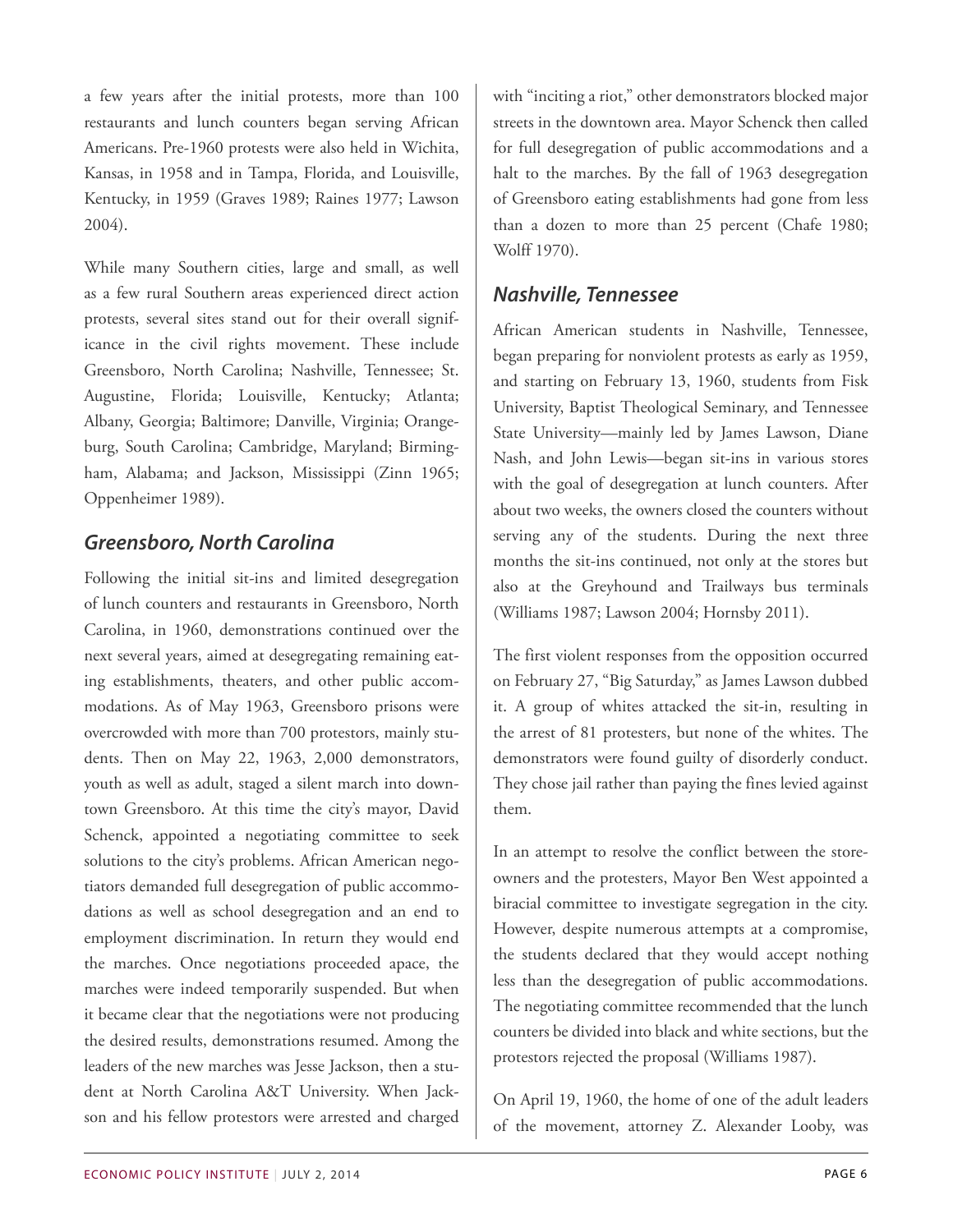a few years after the initial protests, more than 100 restaurants and lunch counters began serving African Americans. Pre-1960 protests were also held in Wichita, Kansas, in 1958 and in Tampa, Florida, and Louisville, Kentucky, in 1959 (Graves 1989; Raines 1977; Lawson 2004).

While many Southern cities, large and small, as well as a few rural Southern areas experienced direct action protests, several sites stand out for their overall significance in the civil rights movement. These include Greensboro, North Carolina; Nashville, Tennessee; St. Augustine, Florida; Louisville, Kentucky; Atlanta; Albany, Georgia; Baltimore; Danville, Virginia; Orangeburg, South Carolina; Cambridge, Maryland; Birmingham, Alabama; and Jackson, Mississippi (Zinn 1965; Oppenheimer 1989).

#### *Greensboro, North Carolina*

Following the initial sit-ins and limited desegregation of lunch counters and restaurants in Greensboro, North Carolina, in 1960, demonstrations continued over the next several years, aimed at desegregating remaining eating establishments, theaters, and other public accommodations. As of May 1963, Greensboro prisons were overcrowded with more than 700 protestors, mainly students. Then on May 22, 1963, 2,000 demonstrators, youth as well as adult, staged a silent march into downtown Greensboro. At this time the city's mayor, David Schenck, appointed a negotiating committee to seek solutions to the city's problems. African American negotiators demanded full desegregation of public accommodations as well as school desegregation and an end to employment discrimination. In return they would end the marches. Once negotiations proceeded apace, the marches were indeed temporarily suspended. But when it became clear that the negotiations were not producing the desired results, demonstrations resumed. Among the leaders of the new marches was Jesse Jackson, then a student at North Carolina A&T University. When Jackson and his fellow protestors were arrested and charged

with "inciting a riot," other demonstrators blocked major streets in the downtown area. Mayor Schenck then called for full desegregation of public accommodations and a halt to the marches. By the fall of 1963 desegregation of Greensboro eating establishments had gone from less than a dozen to more than 25 percent (Chafe 1980; Wolff 1970).

#### *Nashville, Tennessee*

African American students in Nashville, Tennessee, began preparing for nonviolent protests as early as 1959, and starting on February 13, 1960, students from Fisk University, Baptist Theological Seminary, and Tennessee State University—mainly led by James Lawson, Diane Nash, and John Lewis—began sit-ins in various stores with the goal of desegregation at lunch counters. After about two weeks, the owners closed the counters without serving any of the students. During the next three months the sit-ins continued, not only at the stores but also at the Greyhound and Trailways bus terminals (Williams 1987; Lawson 2004; Hornsby 2011).

The first violent responses from the opposition occurred on February 27, "Big Saturday," as James Lawson dubbed it. A group of whites attacked the sit-in, resulting in the arrest of 81 protesters, but none of the whites. The demonstrators were found guilty of disorderly conduct. They chose jail rather than paying the fines levied against them.

In an attempt to resolve the conflict between the storeowners and the protesters, Mayor Ben West appointed a biracial committee to investigate segregation in the city. However, despite numerous attempts at a compromise, the students declared that they would accept nothing less than the desegregation of public accommodations. The negotiating committee recommended that the lunch counters be divided into black and white sections, but the protestors rejected the proposal (Williams 1987).

On April 19, 1960, the home of one of the adult leaders of the movement, attorney Z. Alexander Looby, was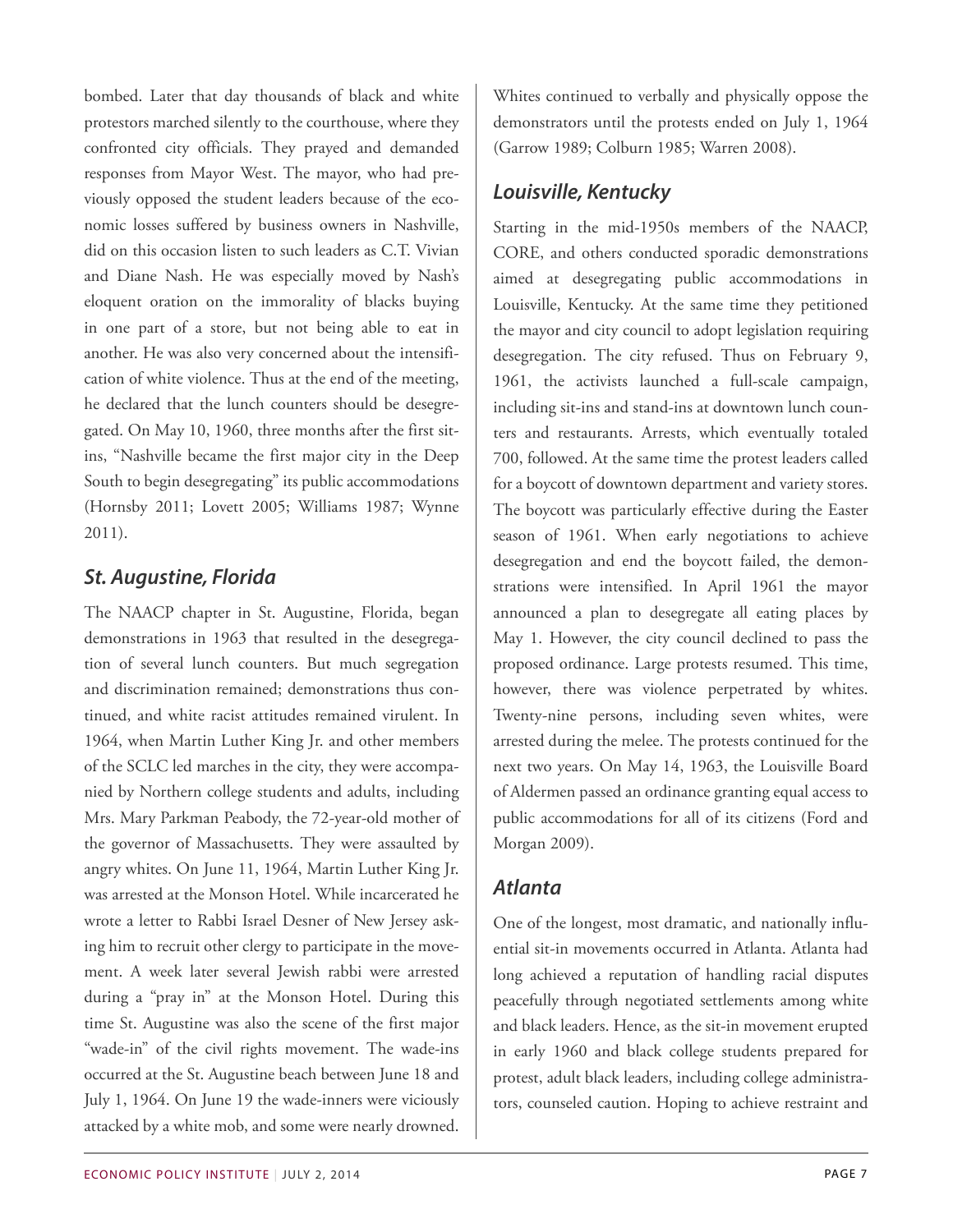bombed. Later that day thousands of black and white protestors marched silently to the courthouse, where they confronted city officials. They prayed and demanded responses from Mayor West. The mayor, who had previously opposed the student leaders because of the economic losses suffered by business owners in Nashville, did on this occasion listen to such leaders as C.T. Vivian and Diane Nash. He was especially moved by Nash's eloquent oration on the immorality of blacks buying in one part of a store, but not being able to eat in another. He was also very concerned about the intensification of white violence. Thus at the end of the meeting, he declared that the lunch counters should be desegregated. On May 10, 1960, three months after the first sitins, "Nashville became the first major city in the Deep South to begin desegregating" its public accommodations (Hornsby 2011; Lovett 2005; Williams 1987; Wynne 2011).

#### *St. Augustine, Florida*

The NAACP chapter in St. Augustine, Florida, began demonstrations in 1963 that resulted in the desegregation of several lunch counters. But much segregation and discrimination remained; demonstrations thus continued, and white racist attitudes remained virulent. In 1964, when Martin Luther King Jr. and other members of the SCLC led marches in the city, they were accompanied by Northern college students and adults, including Mrs. Mary Parkman Peabody, the 72-year-old mother of the governor of Massachusetts. They were assaulted by angry whites. On June 11, 1964, Martin Luther King Jr. was arrested at the Monson Hotel. While incarcerated he wrote a letter to Rabbi Israel Desner of New Jersey asking him to recruit other clergy to participate in the movement. A week later several Jewish rabbi were arrested during a "pray in" at the Monson Hotel. During this time St. Augustine was also the scene of the first major "wade-in" of the civil rights movement. The wade-ins occurred at the St. Augustine beach between June 18 and July 1, 1964. On June 19 the wade-inners were viciously attacked by a white mob, and some were nearly drowned.

Whites continued to verbally and physically oppose the demonstrators until the protests ended on July 1, 1964 (Garrow 1989; Colburn 1985; Warren 2008).

### *Louisville, Kentucky*

Starting in the mid-1950s members of the NAACP, CORE, and others conducted sporadic demonstrations aimed at desegregating public accommodations in Louisville, Kentucky. At the same time they petitioned the mayor and city council to adopt legislation requiring desegregation. The city refused. Thus on February 9, 1961, the activists launched a full-scale campaign, including sit-ins and stand-ins at downtown lunch counters and restaurants. Arrests, which eventually totaled 700, followed. At the same time the protest leaders called for a boycott of downtown department and variety stores. The boycott was particularly effective during the Easter season of 1961. When early negotiations to achieve desegregation and end the boycott failed, the demonstrations were intensified. In April 1961 the mayor announced a plan to desegregate all eating places by May 1. However, the city council declined to pass the proposed ordinance. Large protests resumed. This time, however, there was violence perpetrated by whites. Twenty-nine persons, including seven whites, were arrested during the melee. The protests continued for the next two years. On May 14, 1963, the Louisville Board of Aldermen passed an ordinance granting equal access to public accommodations for all of its citizens (Ford and Morgan 2009).

#### *Atlanta*

One of the longest, most dramatic, and nationally influential sit-in movements occurred in Atlanta. Atlanta had long achieved a reputation of handling racial disputes peacefully through negotiated settlements among white and black leaders. Hence, as the sit-in movement erupted in early 1960 and black college students prepared for protest, adult black leaders, including college administrators, counseled caution. Hoping to achieve restraint and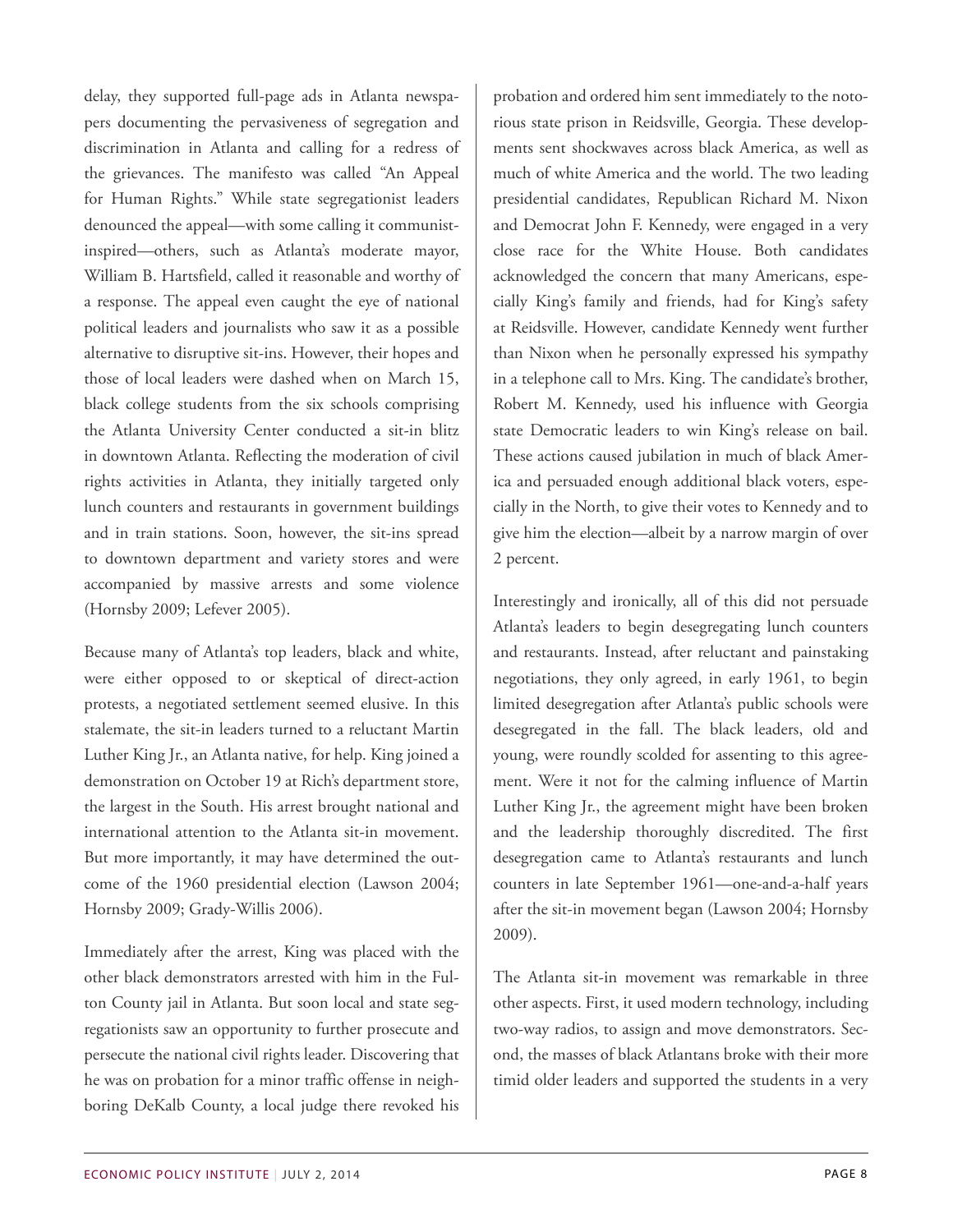delay, they supported full-page ads in Atlanta newspapers documenting the pervasiveness of segregation and discrimination in Atlanta and calling for a redress of the grievances. The manifesto was called "An Appeal for Human Rights." While state segregationist leaders denounced the appeal—with some calling it communistinspired—others, such as Atlanta's moderate mayor, William B. Hartsfield, called it reasonable and worthy of a response. The appeal even caught the eye of national political leaders and journalists who saw it as a possible alternative to disruptive sit-ins. However, their hopes and those of local leaders were dashed when on March 15, black college students from the six schools comprising the Atlanta University Center conducted a sit-in blitz in downtown Atlanta. Reflecting the moderation of civil rights activities in Atlanta, they initially targeted only lunch counters and restaurants in government buildings and in train stations. Soon, however, the sit-ins spread to downtown department and variety stores and were accompanied by massive arrests and some violence (Hornsby 2009; Lefever 2005).

Because many of Atlanta's top leaders, black and white, were either opposed to or skeptical of direct-action protests, a negotiated settlement seemed elusive. In this stalemate, the sit-in leaders turned to a reluctant Martin Luther King Jr., an Atlanta native, for help. King joined a demonstration on October 19 at Rich's department store, the largest in the South. His arrest brought national and international attention to the Atlanta sit-in movement. But more importantly, it may have determined the outcome of the 1960 presidential election (Lawson 2004; Hornsby 2009; Grady-Willis 2006).

Immediately after the arrest, King was placed with the other black demonstrators arrested with him in the Fulton County jail in Atlanta. But soon local and state segregationists saw an opportunity to further prosecute and persecute the national civil rights leader. Discovering that he was on probation for a minor traffic offense in neighboring DeKalb County, a local judge there revoked his

probation and ordered him sent immediately to the notorious state prison in Reidsville, Georgia. These developments sent shockwaves across black America, as well as much of white America and the world. The two leading presidential candidates, Republican Richard M. Nixon and Democrat John F. Kennedy, were engaged in a very close race for the White House. Both candidates acknowledged the concern that many Americans, especially King's family and friends, had for King's safety at Reidsville. However, candidate Kennedy went further than Nixon when he personally expressed his sympathy in a telephone call to Mrs. King. The candidate's brother, Robert M. Kennedy, used his influence with Georgia state Democratic leaders to win King's release on bail. These actions caused jubilation in much of black America and persuaded enough additional black voters, especially in the North, to give their votes to Kennedy and to give him the election—albeit by a narrow margin of over 2 percent.

Interestingly and ironically, all of this did not persuade Atlanta's leaders to begin desegregating lunch counters and restaurants. Instead, after reluctant and painstaking negotiations, they only agreed, in early 1961, to begin limited desegregation after Atlanta's public schools were desegregated in the fall. The black leaders, old and young, were roundly scolded for assenting to this agreement. Were it not for the calming influence of Martin Luther King Jr., the agreement might have been broken and the leadership thoroughly discredited. The first desegregation came to Atlanta's restaurants and lunch counters in late September 1961—one-and-a-half years after the sit-in movement began (Lawson 2004; Hornsby 2009).

The Atlanta sit-in movement was remarkable in three other aspects. First, it used modern technology, including two-way radios, to assign and move demonstrators. Second, the masses of black Atlantans broke with their more timid older leaders and supported the students in a very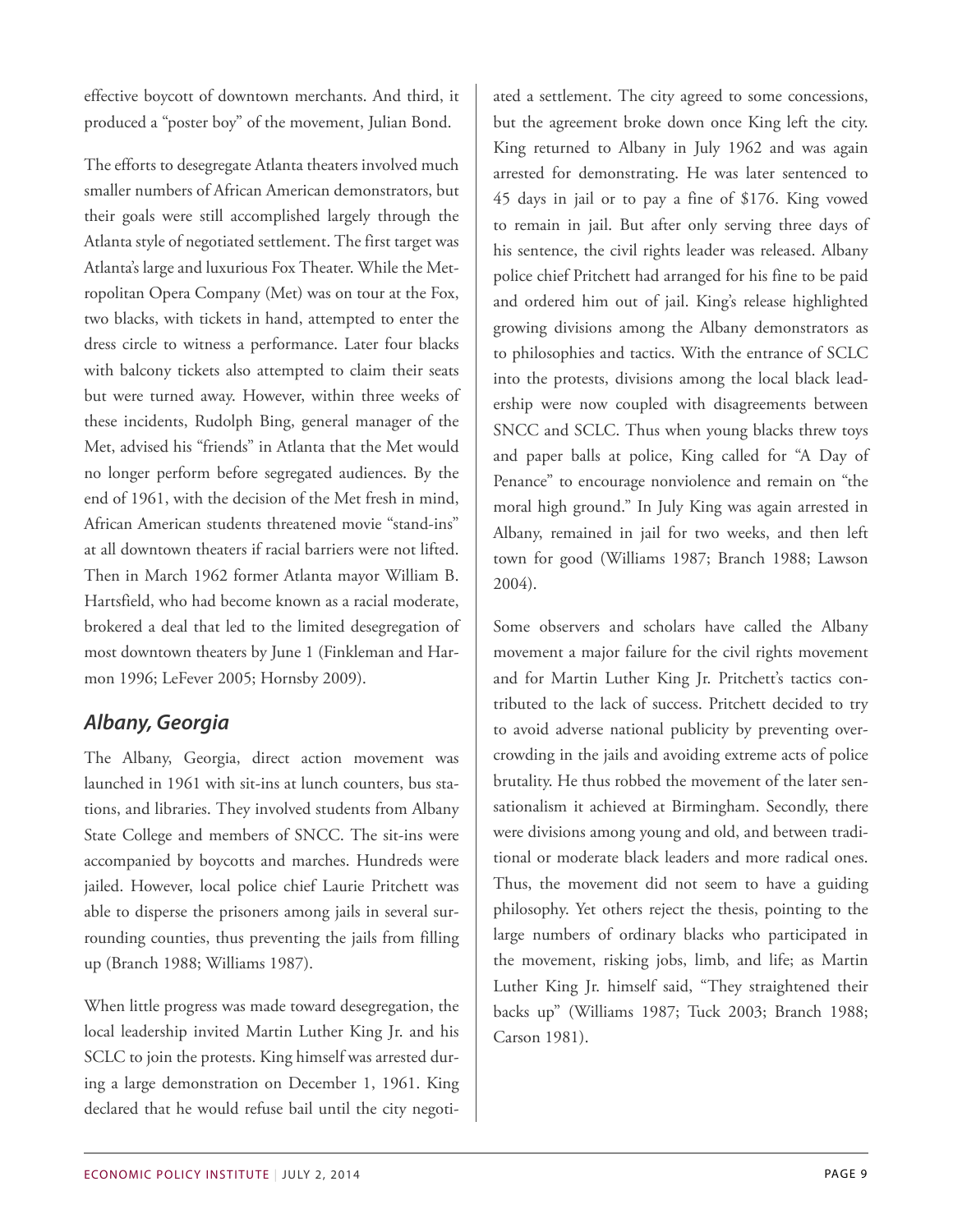effective boycott of downtown merchants. And third, it produced a "poster boy" of the movement, Julian Bond.

The efforts to desegregate Atlanta theaters involved much smaller numbers of African American demonstrators, but their goals were still accomplished largely through the Atlanta style of negotiated settlement. The first target was Atlanta's large and luxurious Fox Theater. While the Metropolitan Opera Company (Met) was on tour at the Fox, two blacks, with tickets in hand, attempted to enter the dress circle to witness a performance. Later four blacks with balcony tickets also attempted to claim their seats but were turned away. However, within three weeks of these incidents, Rudolph Bing, general manager of the Met, advised his "friends" in Atlanta that the Met would no longer perform before segregated audiences. By the end of 1961, with the decision of the Met fresh in mind, African American students threatened movie "stand-ins" at all downtown theaters if racial barriers were not lifted. Then in March 1962 former Atlanta mayor William B. Hartsfield, who had become known as a racial moderate, brokered a deal that led to the limited desegregation of most downtown theaters by June 1 (Finkleman and Harmon 1996; LeFever 2005; Hornsby 2009).

#### *Albany, Georgia*

The Albany, Georgia, direct action movement was launched in 1961 with sit-ins at lunch counters, bus stations, and libraries. They involved students from Albany State College and members of SNCC. The sit-ins were accompanied by boycotts and marches. Hundreds were jailed. However, local police chief Laurie Pritchett was able to disperse the prisoners among jails in several surrounding counties, thus preventing the jails from filling up (Branch 1988; Williams 1987).

When little progress was made toward desegregation, the local leadership invited Martin Luther King Jr. and his SCLC to join the protests. King himself was arrested during a large demonstration on December 1, 1961. King declared that he would refuse bail until the city negoti-

ated a settlement. The city agreed to some concessions, but the agreement broke down once King left the city. King returned to Albany in July 1962 and was again arrested for demonstrating. He was later sentenced to 45 days in jail or to pay a fine of \$176. King vowed to remain in jail. But after only serving three days of his sentence, the civil rights leader was released. Albany police chief Pritchett had arranged for his fine to be paid and ordered him out of jail. King's release highlighted growing divisions among the Albany demonstrators as to philosophies and tactics. With the entrance of SCLC into the protests, divisions among the local black leadership were now coupled with disagreements between SNCC and SCLC. Thus when young blacks threw toys and paper balls at police, King called for "A Day of Penance" to encourage nonviolence and remain on "the moral high ground." In July King was again arrested in Albany, remained in jail for two weeks, and then left town for good (Williams 1987; Branch 1988; Lawson 2004).

Some observers and scholars have called the Albany movement a major failure for the civil rights movement and for Martin Luther King Jr. Pritchett's tactics contributed to the lack of success. Pritchett decided to try to avoid adverse national publicity by preventing overcrowding in the jails and avoiding extreme acts of police brutality. He thus robbed the movement of the later sensationalism it achieved at Birmingham. Secondly, there were divisions among young and old, and between traditional or moderate black leaders and more radical ones. Thus, the movement did not seem to have a guiding philosophy. Yet others reject the thesis, pointing to the large numbers of ordinary blacks who participated in the movement, risking jobs, limb, and life; as Martin Luther King Jr. himself said, "They straightened their backs up" (Williams 1987; Tuck 2003; Branch 1988; Carson 1981).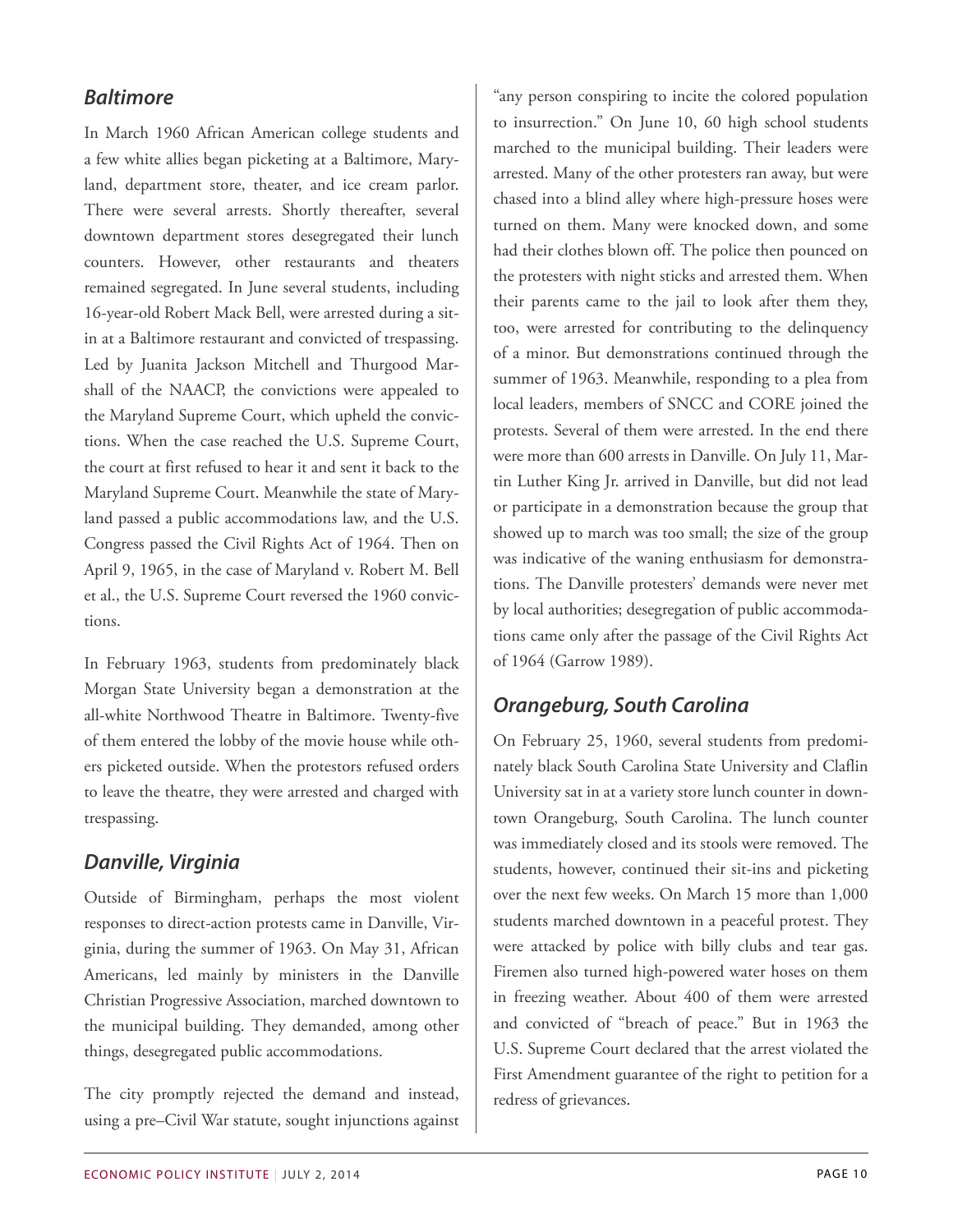#### *Baltimore*

In March 1960 African American college students and a few white allies began picketing at a Baltimore, Maryland, department store, theater, and ice cream parlor. There were several arrests. Shortly thereafter, several downtown department stores desegregated their lunch counters. However, other restaurants and theaters remained segregated. In June several students, including 16-year-old Robert Mack Bell, were arrested during a sitin at a Baltimore restaurant and convicted of trespassing. Led by Juanita Jackson Mitchell and Thurgood Marshall of the NAACP, the convictions were appealed to the Maryland Supreme Court, which upheld the convictions. When the case reached the U.S. Supreme Court, the court at first refused to hear it and sent it back to the Maryland Supreme Court. Meanwhile the state of Maryland passed a public accommodations law, and the U.S. Congress passed the Civil Rights Act of 1964. Then on April 9, 1965, in the case of Maryland v. Robert M. Bell et al., the U.S. Supreme Court reversed the 1960 convictions.

In February 1963, students from predominately black Morgan State University began a demonstration at the all-white Northwood Theatre in Baltimore. Twenty-five of them entered the lobby of the movie house while others picketed outside. When the protestors refused orders to leave the theatre, they were arrested and charged with trespassing.

#### *Danville, Virginia*

Outside of Birmingham, perhaps the most violent responses to direct-action protests came in Danville, Virginia, during the summer of 1963. On May 31, African Americans, led mainly by ministers in the Danville Christian Progressive Association, marched downtown to the municipal building. They demanded, among other things, desegregated public accommodations.

The city promptly rejected the demand and instead, using a pre–Civil War statute, sought injunctions against

"any person conspiring to incite the colored population to insurrection." On June 10, 60 high school students marched to the municipal building. Their leaders were arrested. Many of the other protesters ran away, but were chased into a blind alley where high-pressure hoses were turned on them. Many were knocked down, and some had their clothes blown off. The police then pounced on the protesters with night sticks and arrested them. When their parents came to the jail to look after them they, too, were arrested for contributing to the delinquency of a minor. But demonstrations continued through the summer of 1963. Meanwhile, responding to a plea from local leaders, members of SNCC and CORE joined the protests. Several of them were arrested. In the end there were more than 600 arrests in Danville. On July 11, Martin Luther King Jr. arrived in Danville, but did not lead or participate in a demonstration because the group that showed up to march was too small; the size of the group was indicative of the waning enthusiasm for demonstrations. The Danville protesters' demands were never met by local authorities; desegregation of public accommodations came only after the passage of the Civil Rights Act of 1964 (Garrow 1989).

#### *Orangeburg, South Carolina*

On February 25, 1960, several students from predominately black South Carolina State University and Claflin University sat in at a variety store lunch counter in downtown Orangeburg, South Carolina. The lunch counter was immediately closed and its stools were removed. The students, however, continued their sit-ins and picketing over the next few weeks. On March 15 more than 1,000 students marched downtown in a peaceful protest. They were attacked by police with billy clubs and tear gas. Firemen also turned high-powered water hoses on them in freezing weather. About 400 of them were arrested and convicted of "breach of peace." But in 1963 the U.S. Supreme Court declared that the arrest violated the First Amendment guarantee of the right to petition for a redress of grievances.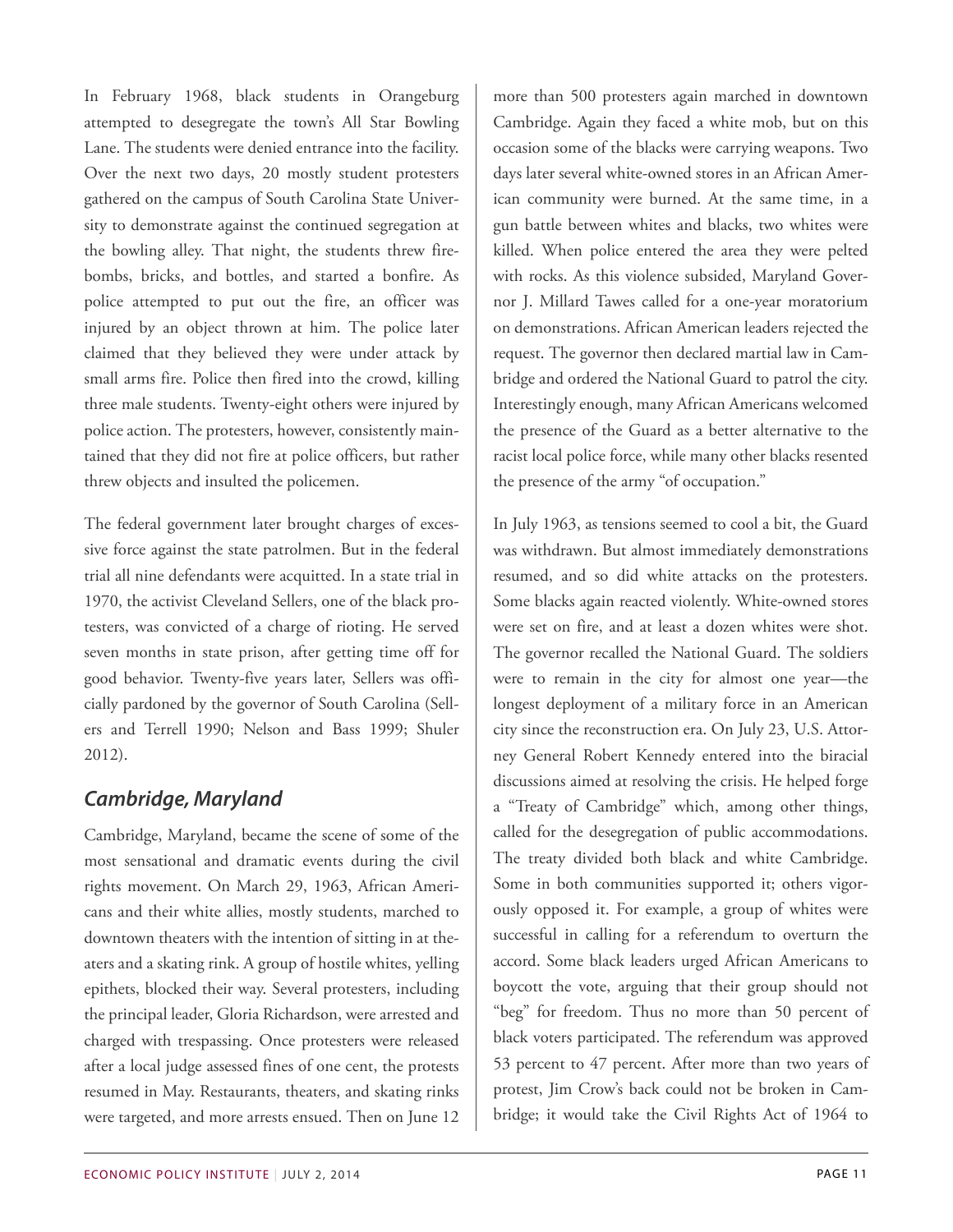In February 1968, black students in Orangeburg attempted to desegregate the town's All Star Bowling Lane. The students were denied entrance into the facility. Over the next two days, 20 mostly student protesters gathered on the campus of South Carolina State University to demonstrate against the continued segregation at the bowling alley. That night, the students threw firebombs, bricks, and bottles, and started a bonfire. As police attempted to put out the fire, an officer was injured by an object thrown at him. The police later claimed that they believed they were under attack by small arms fire. Police then fired into the crowd, killing three male students. Twenty-eight others were injured by police action. The protesters, however, consistently maintained that they did not fire at police officers, but rather threw objects and insulted the policemen.

The federal government later brought charges of excessive force against the state patrolmen. But in the federal trial all nine defendants were acquitted. In a state trial in 1970, the activist Cleveland Sellers, one of the black protesters, was convicted of a charge of rioting. He served seven months in state prison, after getting time off for good behavior. Twenty-five years later, Sellers was officially pardoned by the governor of South Carolina (Sellers and Terrell 1990; Nelson and Bass 1999; Shuler 2012).

#### *Cambridge, Maryland*

Cambridge, Maryland, became the scene of some of the most sensational and dramatic events during the civil rights movement. On March 29, 1963, African Americans and their white allies, mostly students, marched to downtown theaters with the intention of sitting in at theaters and a skating rink. A group of hostile whites, yelling epithets, blocked their way. Several protesters, including the principal leader, Gloria Richardson, were arrested and charged with trespassing. Once protesters were released after a local judge assessed fines of one cent, the protests resumed in May. Restaurants, theaters, and skating rinks were targeted, and more arrests ensued. Then on June 12

more than 500 protesters again marched in downtown Cambridge. Again they faced a white mob, but on this occasion some of the blacks were carrying weapons. Two days later several white-owned stores in an African American community were burned. At the same time, in a gun battle between whites and blacks, two whites were killed. When police entered the area they were pelted with rocks. As this violence subsided, Maryland Governor J. Millard Tawes called for a one-year moratorium on demonstrations. African American leaders rejected the request. The governor then declared martial law in Cambridge and ordered the National Guard to patrol the city. Interestingly enough, many African Americans welcomed the presence of the Guard as a better alternative to the racist local police force, while many other blacks resented the presence of the army "of occupation."

In July 1963, as tensions seemed to cool a bit, the Guard was withdrawn. But almost immediately demonstrations resumed, and so did white attacks on the protesters. Some blacks again reacted violently. White-owned stores were set on fire, and at least a dozen whites were shot. The governor recalled the National Guard. The soldiers were to remain in the city for almost one year—the longest deployment of a military force in an American city since the reconstruction era. On July 23, U.S. Attorney General Robert Kennedy entered into the biracial discussions aimed at resolving the crisis. He helped forge a "Treaty of Cambridge" which, among other things, called for the desegregation of public accommodations. The treaty divided both black and white Cambridge. Some in both communities supported it; others vigorously opposed it. For example, a group of whites were successful in calling for a referendum to overturn the accord. Some black leaders urged African Americans to boycott the vote, arguing that their group should not "beg" for freedom. Thus no more than 50 percent of black voters participated. The referendum was approved 53 percent to 47 percent. After more than two years of protest, Jim Crow's back could not be broken in Cambridge; it would take the Civil Rights Act of 1964 to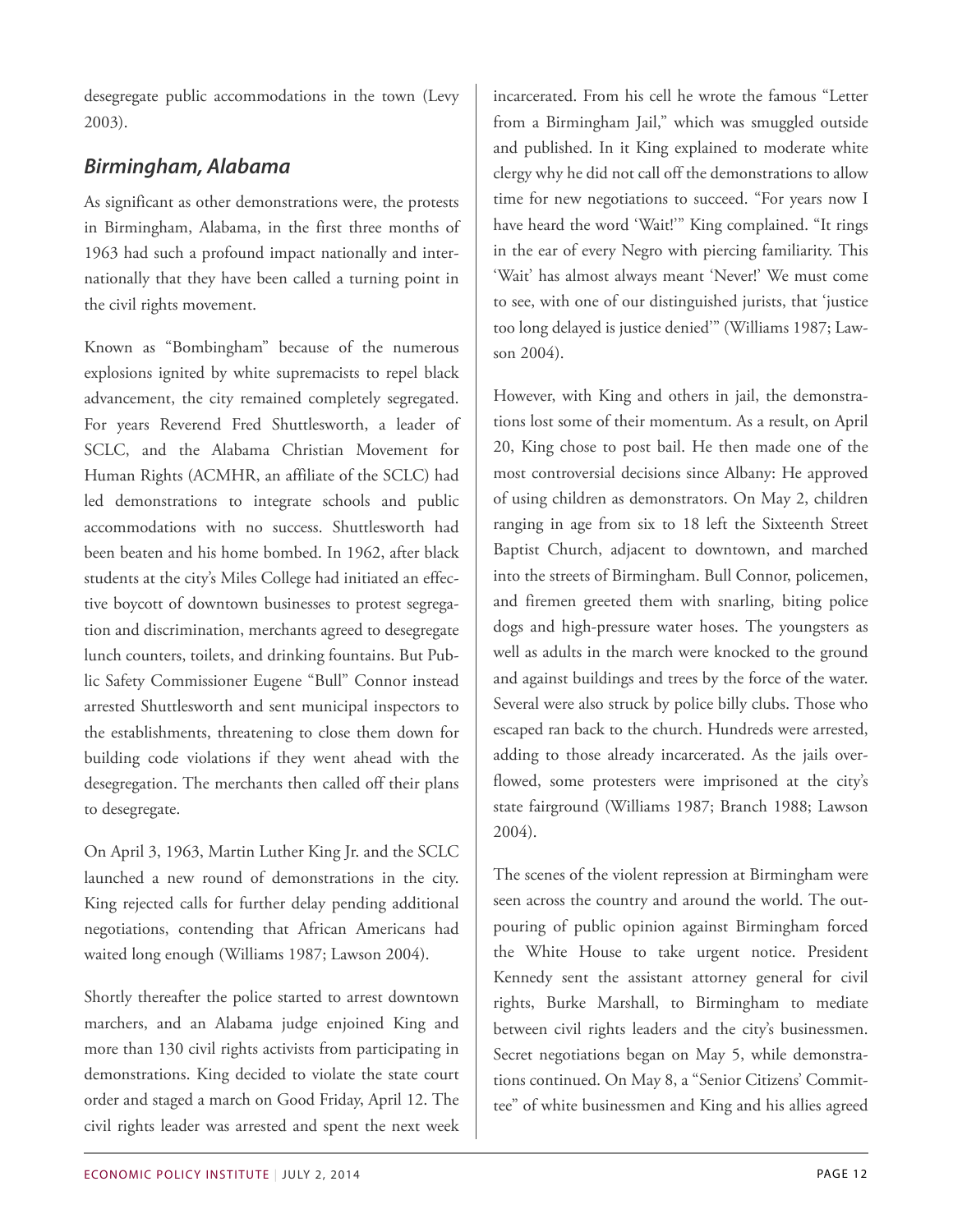desegregate public accommodations in the town (Levy 2003).

### *Birmingham, Alabama*

As significant as other demonstrations were, the protests in Birmingham, Alabama, in the first three months of 1963 had such a profound impact nationally and internationally that they have been called a turning point in the civil rights movement.

Known as "Bombingham" because of the numerous explosions ignited by white supremacists to repel black advancement, the city remained completely segregated. For years Reverend Fred Shuttlesworth, a leader of SCLC, and the Alabama Christian Movement for Human Rights (ACMHR, an affiliate of the SCLC) had led demonstrations to integrate schools and public accommodations with no success. Shuttlesworth had been beaten and his home bombed. In 1962, after black students at the city's Miles College had initiated an effective boycott of downtown businesses to protest segregation and discrimination, merchants agreed to desegregate lunch counters, toilets, and drinking fountains. But Public Safety Commissioner Eugene "Bull" Connor instead arrested Shuttlesworth and sent municipal inspectors to the establishments, threatening to close them down for building code violations if they went ahead with the desegregation. The merchants then called off their plans to desegregate.

On April 3, 1963, Martin Luther King Jr. and the SCLC launched a new round of demonstrations in the city. King rejected calls for further delay pending additional negotiations, contending that African Americans had waited long enough (Williams 1987; Lawson 2004).

Shortly thereafter the police started to arrest downtown marchers, and an Alabama judge enjoined King and more than 130 civil rights activists from participating in demonstrations. King decided to violate the state court order and staged a march on Good Friday, April 12. The civil rights leader was arrested and spent the next week

incarcerated. From his cell he wrote the famous "Letter from a Birmingham Jail," which was smuggled outside and published. In it King explained to moderate white clergy why he did not call off the demonstrations to allow time for new negotiations to succeed. "For years now I have heard the word 'Wait!'" King complained. "It rings in the ear of every Negro with piercing familiarity. This 'Wait' has almost always meant 'Never!' We must come to see, with one of our distinguished jurists, that 'justice too long delayed is justice denied'" (Williams 1987; Lawson 2004).

However, with King and others in jail, the demonstrations lost some of their momentum. As a result, on April 20, King chose to post bail. He then made one of the most controversial decisions since Albany: He approved of using children as demonstrators. On May 2, children ranging in age from six to 18 left the Sixteenth Street Baptist Church, adjacent to downtown, and marched into the streets of Birmingham. Bull Connor, policemen, and firemen greeted them with snarling, biting police dogs and high-pressure water hoses. The youngsters as well as adults in the march were knocked to the ground and against buildings and trees by the force of the water. Several were also struck by police billy clubs. Those who escaped ran back to the church. Hundreds were arrested, adding to those already incarcerated. As the jails overflowed, some protesters were imprisoned at the city's state fairground (Williams 1987; Branch 1988; Lawson 2004).

The scenes of the violent repression at Birmingham were seen across the country and around the world. The outpouring of public opinion against Birmingham forced the White House to take urgent notice. President Kennedy sent the assistant attorney general for civil rights, Burke Marshall, to Birmingham to mediate between civil rights leaders and the city's businessmen. Secret negotiations began on May 5, while demonstrations continued. On May 8, a "Senior Citizens' Committee" of white businessmen and King and his allies agreed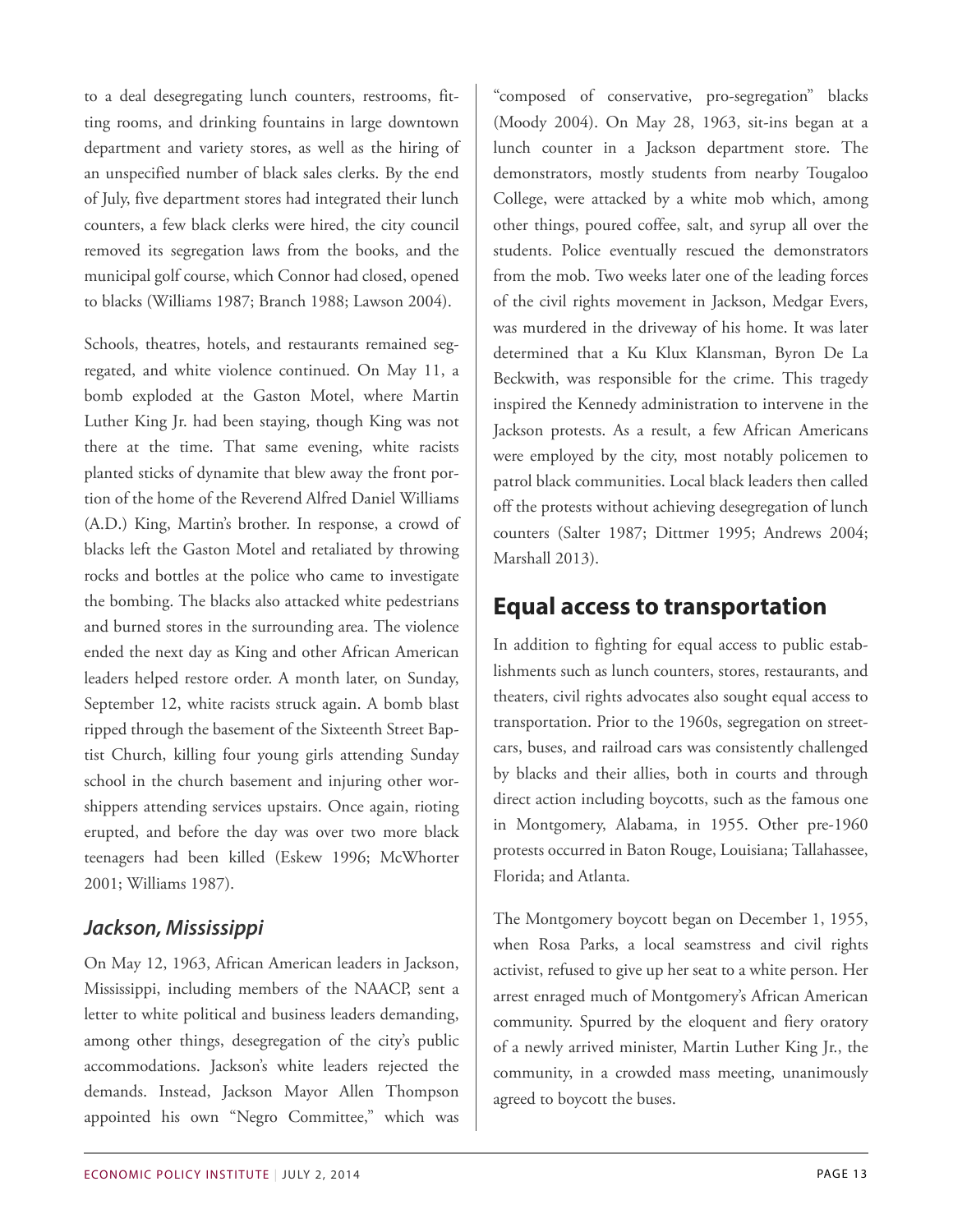to a deal desegregating lunch counters, restrooms, fitting rooms, and drinking fountains in large downtown department and variety stores, as well as the hiring of an unspecified number of black sales clerks. By the end of July, five department stores had integrated their lunch counters, a few black clerks were hired, the city council removed its segregation laws from the books, and the municipal golf course, which Connor had closed, opened to blacks (Williams 1987; Branch 1988; Lawson 2004).

Schools, theatres, hotels, and restaurants remained segregated, and white violence continued. On May 11, a bomb exploded at the Gaston Motel, where Martin Luther King Jr. had been staying, though King was not there at the time. That same evening, white racists planted sticks of dynamite that blew away the front portion of the home of the Reverend Alfred Daniel Williams (A.D.) King, Martin's brother. In response, a crowd of blacks left the Gaston Motel and retaliated by throwing rocks and bottles at the police who came to investigate the bombing. The blacks also attacked white pedestrians and burned stores in the surrounding area. The violence ended the next day as King and other African American leaders helped restore order. A month later, on Sunday, September 12, white racists struck again. A bomb blast ripped through the basement of the Sixteenth Street Baptist Church, killing four young girls attending Sunday school in the church basement and injuring other worshippers attending services upstairs. Once again, rioting erupted, and before the day was over two more black teenagers had been killed (Eskew 1996; McWhorter 2001; Williams 1987).

#### *Jackson, Mississippi*

On May 12, 1963, African American leaders in Jackson, Mississippi, including members of the NAACP, sent a letter to white political and business leaders demanding, among other things, desegregation of the city's public accommodations. Jackson's white leaders rejected the demands. Instead, Jackson Mayor Allen Thompson appointed his own "Negro Committee," which was

"composed of conservative, pro-segregation" blacks (Moody 2004). On May 28, 1963, sit-ins began at a lunch counter in a Jackson department store. The demonstrators, mostly students from nearby Tougaloo College, were attacked by a white mob which, among other things, poured coffee, salt, and syrup all over the students. Police eventually rescued the demonstrators from the mob. Two weeks later one of the leading forces of the civil rights movement in Jackson, Medgar Evers, was murdered in the driveway of his home. It was later determined that a Ku Klux Klansman, Byron De La Beckwith, was responsible for the crime. This tragedy inspired the Kennedy administration to intervene in the Jackson protests. As a result, a few African Americans were employed by the city, most notably policemen to patrol black communities. Local black leaders then called off the protests without achieving desegregation of lunch counters (Salter 1987; Dittmer 1995; Andrews 2004; Marshall 2013).

### **Equal access to transportation**

In addition to fighting for equal access to public establishments such as lunch counters, stores, restaurants, and theaters, civil rights advocates also sought equal access to transportation. Prior to the 1960s, segregation on streetcars, buses, and railroad cars was consistently challenged by blacks and their allies, both in courts and through direct action including boycotts, such as the famous one in Montgomery, Alabama, in 1955. Other pre-1960 protests occurred in Baton Rouge, Louisiana; Tallahassee, Florida; and Atlanta.

The Montgomery boycott began on December 1, 1955, when Rosa Parks, a local seamstress and civil rights activist, refused to give up her seat to a white person. Her arrest enraged much of Montgomery's African American community. Spurred by the eloquent and fiery oratory of a newly arrived minister, Martin Luther King Jr., the community, in a crowded mass meeting, unanimously agreed to boycott the buses.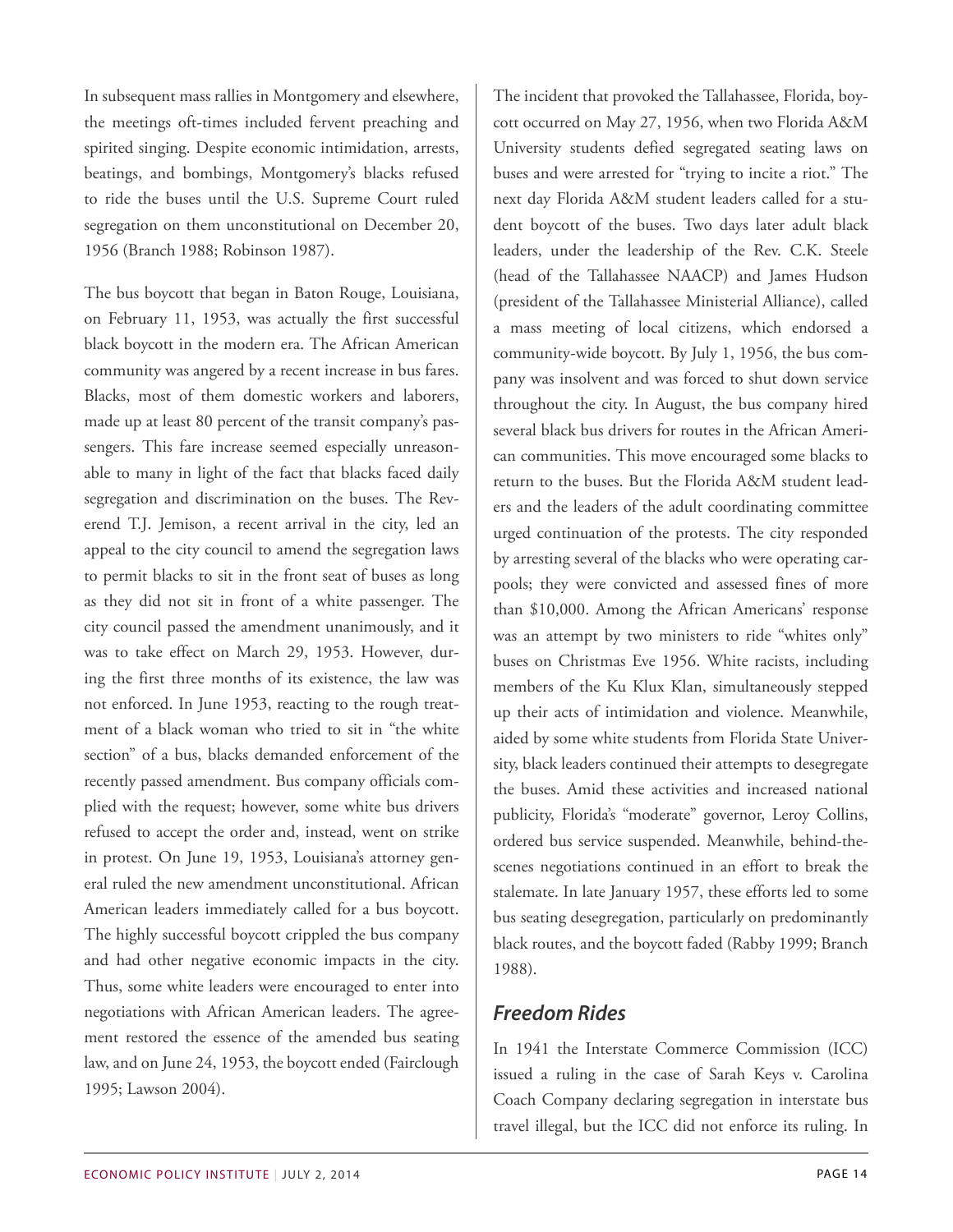In subsequent mass rallies in Montgomery and elsewhere, the meetings oft-times included fervent preaching and spirited singing. Despite economic intimidation, arrests, beatings, and bombings, Montgomery's blacks refused to ride the buses until the U.S. Supreme Court ruled segregation on them unconstitutional on December 20, 1956 (Branch 1988; Robinson 1987).

The bus boycott that began in Baton Rouge, Louisiana, on February 11, 1953, was actually the first successful black boycott in the modern era. The African American community was angered by a recent increase in bus fares. Blacks, most of them domestic workers and laborers, made up at least 80 percent of the transit company's passengers. This fare increase seemed especially unreasonable to many in light of the fact that blacks faced daily segregation and discrimination on the buses. The Reverend T.J. Jemison, a recent arrival in the city, led an appeal to the city council to amend the segregation laws to permit blacks to sit in the front seat of buses as long as they did not sit in front of a white passenger. The city council passed the amendment unanimously, and it was to take effect on March 29, 1953. However, during the first three months of its existence, the law was not enforced. In June 1953, reacting to the rough treatment of a black woman who tried to sit in "the white section" of a bus, blacks demanded enforcement of the recently passed amendment. Bus company officials complied with the request; however, some white bus drivers refused to accept the order and, instead, went on strike in protest. On June 19, 1953, Louisiana's attorney general ruled the new amendment unconstitutional. African American leaders immediately called for a bus boycott. The highly successful boycott crippled the bus company and had other negative economic impacts in the city. Thus, some white leaders were encouraged to enter into negotiations with African American leaders. The agreement restored the essence of the amended bus seating law, and on June 24, 1953, the boycott ended (Fairclough 1995; Lawson 2004).

The incident that provoked the Tallahassee, Florida, boycott occurred on May 27, 1956, when two Florida A&M University students defied segregated seating laws on buses and were arrested for "trying to incite a riot." The next day Florida A&M student leaders called for a student boycott of the buses. Two days later adult black leaders, under the leadership of the Rev. C.K. Steele (head of the Tallahassee NAACP) and James Hudson (president of the Tallahassee Ministerial Alliance), called a mass meeting of local citizens, which endorsed a community-wide boycott. By July 1, 1956, the bus company was insolvent and was forced to shut down service throughout the city. In August, the bus company hired several black bus drivers for routes in the African American communities. This move encouraged some blacks to return to the buses. But the Florida A&M student leaders and the leaders of the adult coordinating committee urged continuation of the protests. The city responded by arresting several of the blacks who were operating carpools; they were convicted and assessed fines of more than \$10,000. Among the African Americans' response was an attempt by two ministers to ride "whites only" buses on Christmas Eve 1956. White racists, including members of the Ku Klux Klan, simultaneously stepped up their acts of intimidation and violence. Meanwhile, aided by some white students from Florida State University, black leaders continued their attempts to desegregate the buses. Amid these activities and increased national publicity, Florida's "moderate" governor, Leroy Collins, ordered bus service suspended. Meanwhile, behind-thescenes negotiations continued in an effort to break the stalemate. In late January 1957, these efforts led to some bus seating desegregation, particularly on predominantly black routes, and the boycott faded (Rabby 1999; Branch 1988).

#### *Freedom Rides*

In 1941 the Interstate Commerce Commission (ICC) issued a ruling in the case of Sarah Keys v. Carolina Coach Company declaring segregation in interstate bus travel illegal, but the ICC did not enforce its ruling. In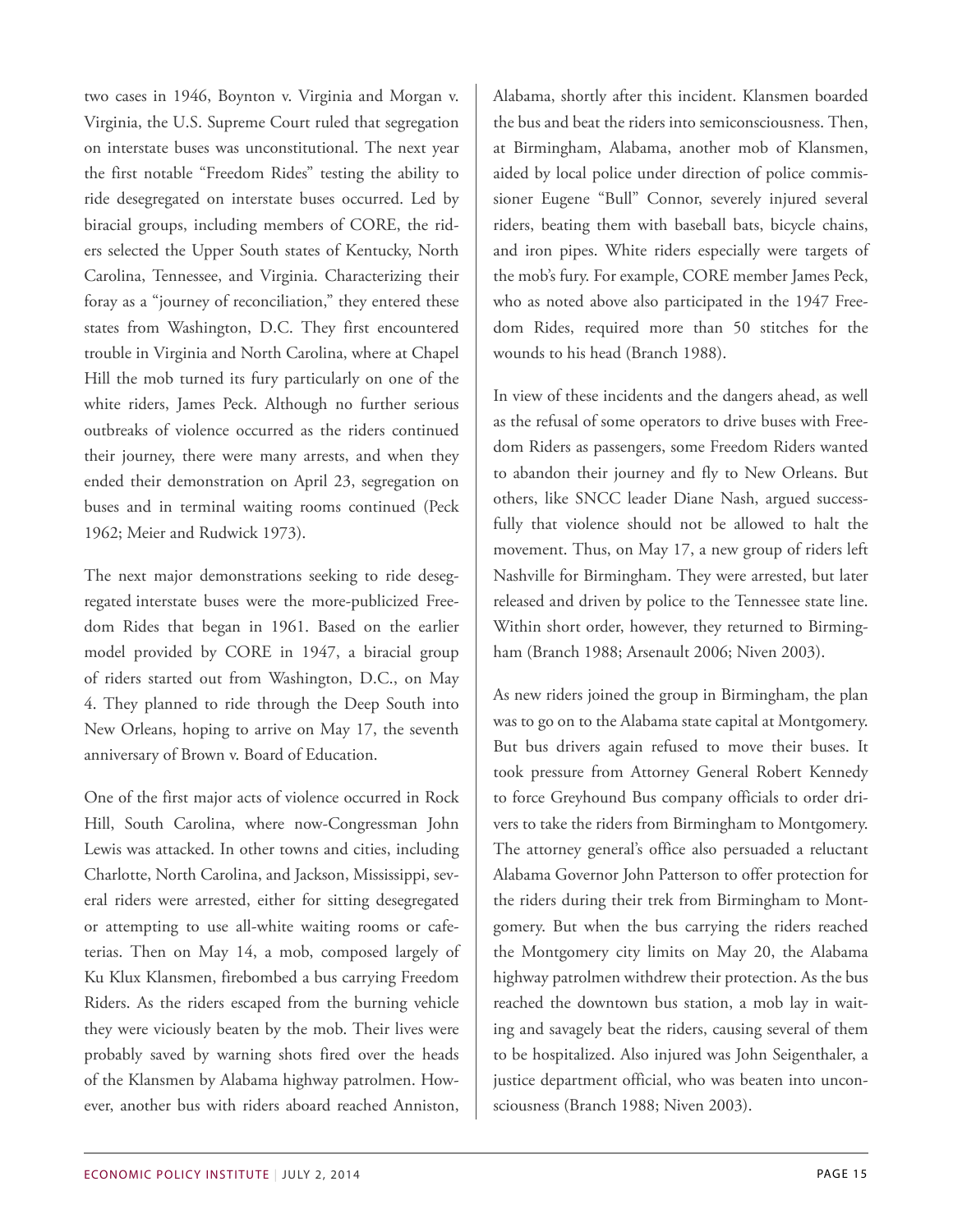two cases in 1946, Boynton v. Virginia and Morgan v. Virginia, the U.S. Supreme Court ruled that segregation on interstate buses was unconstitutional. The next year the first notable "Freedom Rides" testing the ability to ride desegregated on interstate buses occurred. Led by biracial groups, including members of CORE, the riders selected the Upper South states of Kentucky, North Carolina, Tennessee, and Virginia. Characterizing their foray as a "journey of reconciliation," they entered these states from Washington, D.C. They first encountered trouble in Virginia and North Carolina, where at Chapel Hill the mob turned its fury particularly on one of the white riders, James Peck. Although no further serious outbreaks of violence occurred as the riders continued their journey, there were many arrests, and when they ended their demonstration on April 23, segregation on buses and in terminal waiting rooms continued (Peck 1962; Meier and Rudwick 1973).

The next major demonstrations seeking to ride desegregated interstate buses were the more-publicized Freedom Rides that began in 1961. Based on the earlier model provided by CORE in 1947, a biracial group of riders started out from Washington, D.C., on May 4. They planned to ride through the Deep South into New Orleans, hoping to arrive on May 17, the seventh anniversary of Brown v. Board of Education.

One of the first major acts of violence occurred in Rock Hill, South Carolina, where now-Congressman John Lewis was attacked. In other towns and cities, including Charlotte, North Carolina, and Jackson, Mississippi, several riders were arrested, either for sitting desegregated or attempting to use all-white waiting rooms or cafeterias. Then on May 14, a mob, composed largely of Ku Klux Klansmen, firebombed a bus carrying Freedom Riders. As the riders escaped from the burning vehicle they were viciously beaten by the mob. Their lives were probably saved by warning shots fired over the heads of the Klansmen by Alabama highway patrolmen. However, another bus with riders aboard reached Anniston, Alabama, shortly after this incident. Klansmen boarded the bus and beat the riders into semiconsciousness. Then, at Birmingham, Alabama, another mob of Klansmen, aided by local police under direction of police commissioner Eugene "Bull" Connor, severely injured several riders, beating them with baseball bats, bicycle chains, and iron pipes. White riders especially were targets of the mob's fury. For example, CORE member James Peck, who as noted above also participated in the 1947 Freedom Rides, required more than 50 stitches for the wounds to his head (Branch 1988).

In view of these incidents and the dangers ahead, as well as the refusal of some operators to drive buses with Freedom Riders as passengers, some Freedom Riders wanted to abandon their journey and fly to New Orleans. But others, like SNCC leader Diane Nash, argued successfully that violence should not be allowed to halt the movement. Thus, on May 17, a new group of riders left Nashville for Birmingham. They were arrested, but later released and driven by police to the Tennessee state line. Within short order, however, they returned to Birmingham (Branch 1988; Arsenault 2006; Niven 2003).

As new riders joined the group in Birmingham, the plan was to go on to the Alabama state capital at Montgomery. But bus drivers again refused to move their buses. It took pressure from Attorney General Robert Kennedy to force Greyhound Bus company officials to order drivers to take the riders from Birmingham to Montgomery. The attorney general's office also persuaded a reluctant Alabama Governor John Patterson to offer protection for the riders during their trek from Birmingham to Montgomery. But when the bus carrying the riders reached the Montgomery city limits on May 20, the Alabama highway patrolmen withdrew their protection. As the bus reached the downtown bus station, a mob lay in waiting and savagely beat the riders, causing several of them to be hospitalized. Also injured was John Seigenthaler, a justice department official, who was beaten into unconsciousness (Branch 1988; Niven 2003).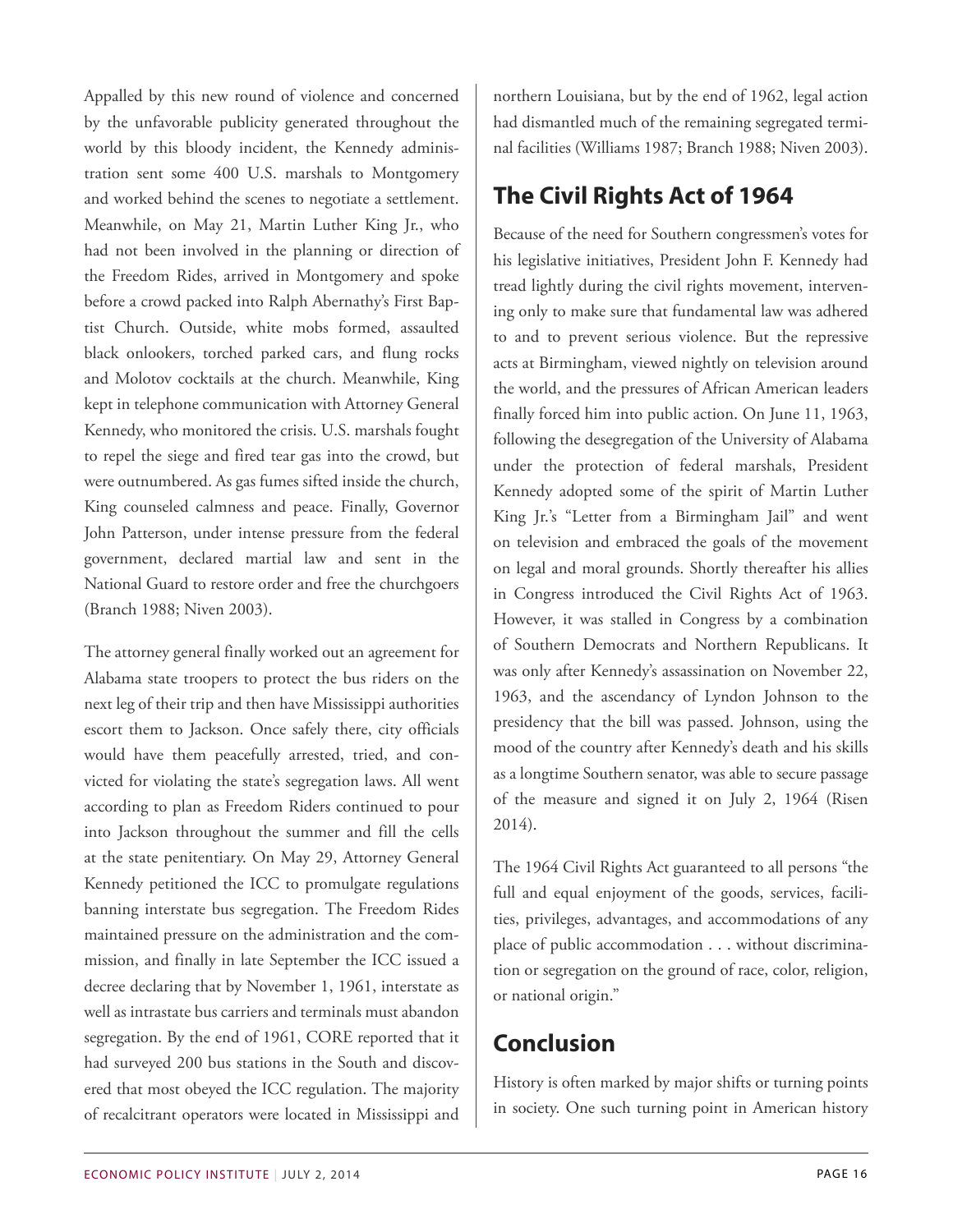Appalled by this new round of violence and concerned by the unfavorable publicity generated throughout the world by this bloody incident, the Kennedy administration sent some 400 U.S. marshals to Montgomery and worked behind the scenes to negotiate a settlement. Meanwhile, on May 21, Martin Luther King Jr., who had not been involved in the planning or direction of the Freedom Rides, arrived in Montgomery and spoke before a crowd packed into Ralph Abernathy's First Baptist Church. Outside, white mobs formed, assaulted black onlookers, torched parked cars, and flung rocks and Molotov cocktails at the church. Meanwhile, King kept in telephone communication with Attorney General Kennedy, who monitored the crisis. U.S. marshals fought to repel the siege and fired tear gas into the crowd, but were outnumbered. As gas fumes sifted inside the church, King counseled calmness and peace. Finally, Governor John Patterson, under intense pressure from the federal government, declared martial law and sent in the National Guard to restore order and free the churchgoers (Branch 1988; Niven 2003).

The attorney general finally worked out an agreement for Alabama state troopers to protect the bus riders on the next leg of their trip and then have Mississippi authorities escort them to Jackson. Once safely there, city officials would have them peacefully arrested, tried, and convicted for violating the state's segregation laws. All went according to plan as Freedom Riders continued to pour into Jackson throughout the summer and fill the cells at the state penitentiary. On May 29, Attorney General Kennedy petitioned the ICC to promulgate regulations banning interstate bus segregation. The Freedom Rides maintained pressure on the administration and the commission, and finally in late September the ICC issued a decree declaring that by November 1, 1961, interstate as well as intrastate bus carriers and terminals must abandon segregation. By the end of 1961, CORE reported that it had surveyed 200 bus stations in the South and discovered that most obeyed the ICC regulation. The majority of recalcitrant operators were located in Mississippi and

northern Louisiana, but by the end of 1962, legal action had dismantled much of the remaining segregated terminal facilities (Williams 1987; Branch 1988; Niven 2003).

## **The Civil Rights Act of 1964**

Because of the need for Southern congressmen's votes for his legislative initiatives, President John F. Kennedy had tread lightly during the civil rights movement, intervening only to make sure that fundamental law was adhered to and to prevent serious violence. But the repressive acts at Birmingham, viewed nightly on television around the world, and the pressures of African American leaders finally forced him into public action. On June 11, 1963, following the desegregation of the University of Alabama under the protection of federal marshals, President Kennedy adopted some of the spirit of Martin Luther King Jr.'s "Letter from a Birmingham Jail" and went on television and embraced the goals of the movement on legal and moral grounds. Shortly thereafter his allies in Congress introduced the Civil Rights Act of 1963. However, it was stalled in Congress by a combination of Southern Democrats and Northern Republicans. It was only after Kennedy's assassination on November 22, 1963, and the ascendancy of Lyndon Johnson to the presidency that the bill was passed. Johnson, using the mood of the country after Kennedy's death and his skills as a longtime Southern senator, was able to secure passage of the measure and signed it on July 2, 1964 (Risen 2014).

The 1964 Civil Rights Act guaranteed to all persons "the full and equal enjoyment of the goods, services, facilities, privileges, advantages, and accommodations of any place of public accommodation . . . without discrimination or segregation on the ground of race, color, religion, or national origin."

# **Conclusion**

History is often marked by major shifts or turning points in society. One such turning point in American history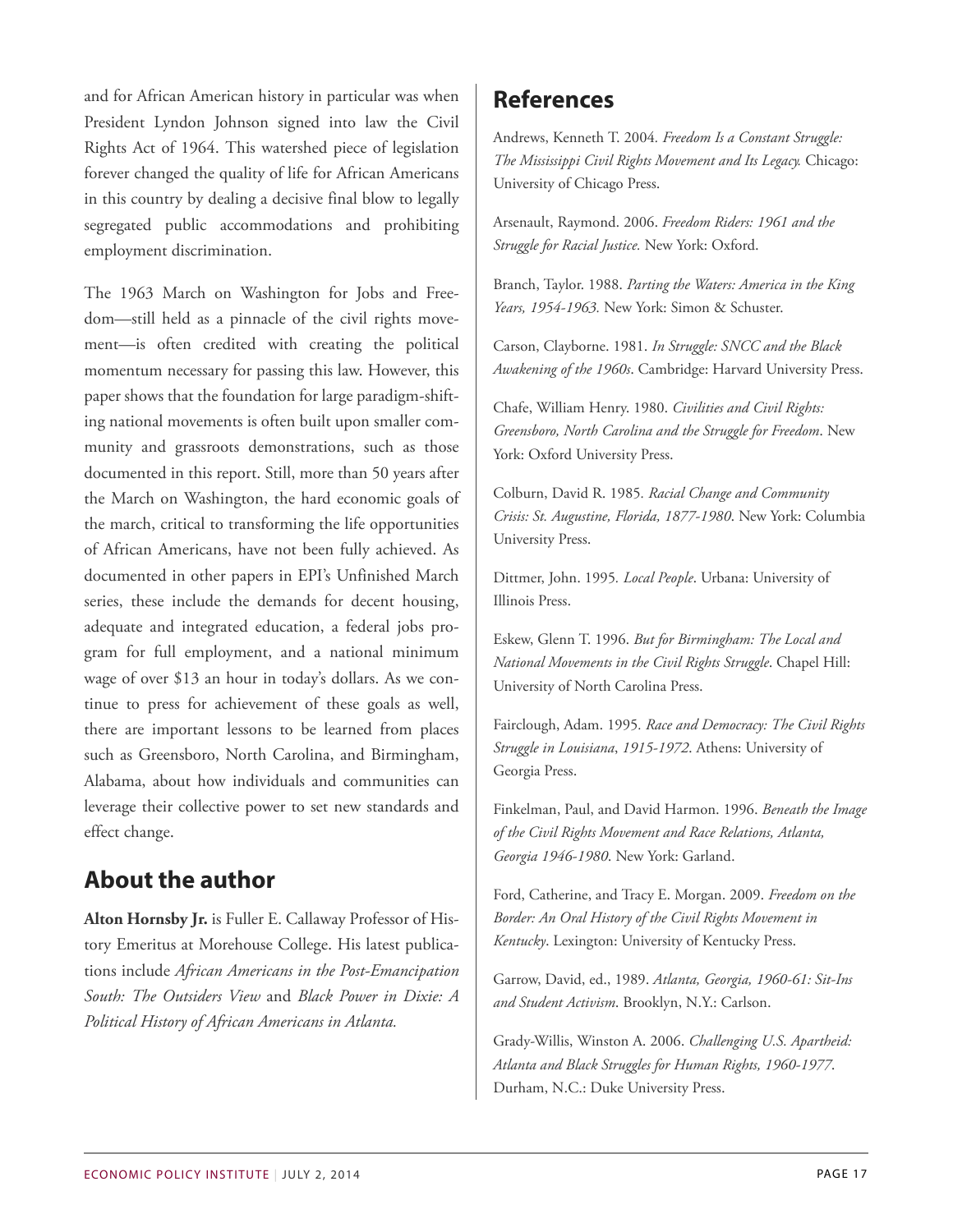and for African American history in particular was when President Lyndon Johnson signed into law the Civil Rights Act of 1964. This watershed piece of legislation forever changed the quality of life for African Americans in this country by dealing a decisive final blow to legally segregated public accommodations and prohibiting employment discrimination.

The 1963 March on Washington for Jobs and Freedom—still held as a pinnacle of the civil rights movement—is often credited with creating the political momentum necessary for passing this law. However, this paper shows that the foundation for large paradigm-shifting national movements is often built upon smaller community and grassroots demonstrations, such as those documented in this report. Still, more than 50 years after the March on Washington, the hard economic goals of the march, critical to transforming the life opportunities of African Americans, have not been fully achieved. As documented in other papers in EPI's Unfinished March series, these include the demands for decent housing, adequate and integrated education, a federal jobs program for full employment, and a national minimum wage of over \$13 an hour in today's dollars. As we continue to press for achievement of these goals as well, there are important lessons to be learned from places such as Greensboro, North Carolina, and Birmingham, Alabama, about how individuals and communities can leverage their collective power to set new standards and effect change.

# **About the author**

**Alton Hornsby Jr.** is Fuller E. Callaway Professor of History Emeritus at Morehouse College. His latest publications include *African Americans in the Post-Emancipation South: The Outsiders View* and *Black Power in Dixie: A Political History of African Americans in Atlanta.*

### **References**

Andrews, Kenneth T. 2004*. Freedom Is a Constant Struggle: The Mississippi Civil Rights Movement and Its Legacy.* Chicago: University of Chicago Press.

Arsenault, Raymond. 2006. *Freedom Riders: 1961 and the Struggle for Racial Justice.* New York: Oxford.

Branch, Taylor. 1988. *Parting the Waters: America in the King Years, 1954-1963.* New York: Simon & Schuster.

Carson, Clayborne. 1981. *In Struggle: SNCC and the Black Awakening of the 1960s*. Cambridge: Harvard University Press.

Chafe, William Henry. 1980. *Civilities and Civil Rights: Greensboro, North Carolina and the Struggle for Freedom*. New York: Oxford University Press.

Colburn, David R. 1985*. Racial Change and Community Crisis: St. Augustine, Florida, 1877-1980*. New York: Columbia University Press.

Dittmer, John. 1995*. Local People*. Urbana: University of Illinois Press.

Eskew, Glenn T. 1996. *But for Birmingham: The Local and National Movements in the Civil Rights Struggle*. Chapel Hill: University of North Carolina Press.

Fairclough, Adam. 1995*. Race and Democracy: The Civil Rights Struggle in Louisiana*, *1915-1972*. Athens: University of Georgia Press.

Finkelman, Paul, and David Harmon. 1996. *Beneath the Image of the Civil Rights Movement and Race Relations, Atlanta, Georgia 1946-1980*. New York: Garland.

Ford, Catherine, and Tracy E. Morgan. 2009. *Freedom on the Border: An Oral History of the Civil Rights Movement in Kentucky*. Lexington: University of Kentucky Press.

Garrow, David, ed., 1989. *Atlanta, Georgia, 1960-61: Sit-Ins and Student Activism*. Brooklyn, N.Y.: Carlson.

Grady-Willis, Winston A. 2006. *Challenging U.S. Apartheid: Atlanta and Black Struggles for Human Rights, 1960-1977*. Durham, N.C.: Duke University Press.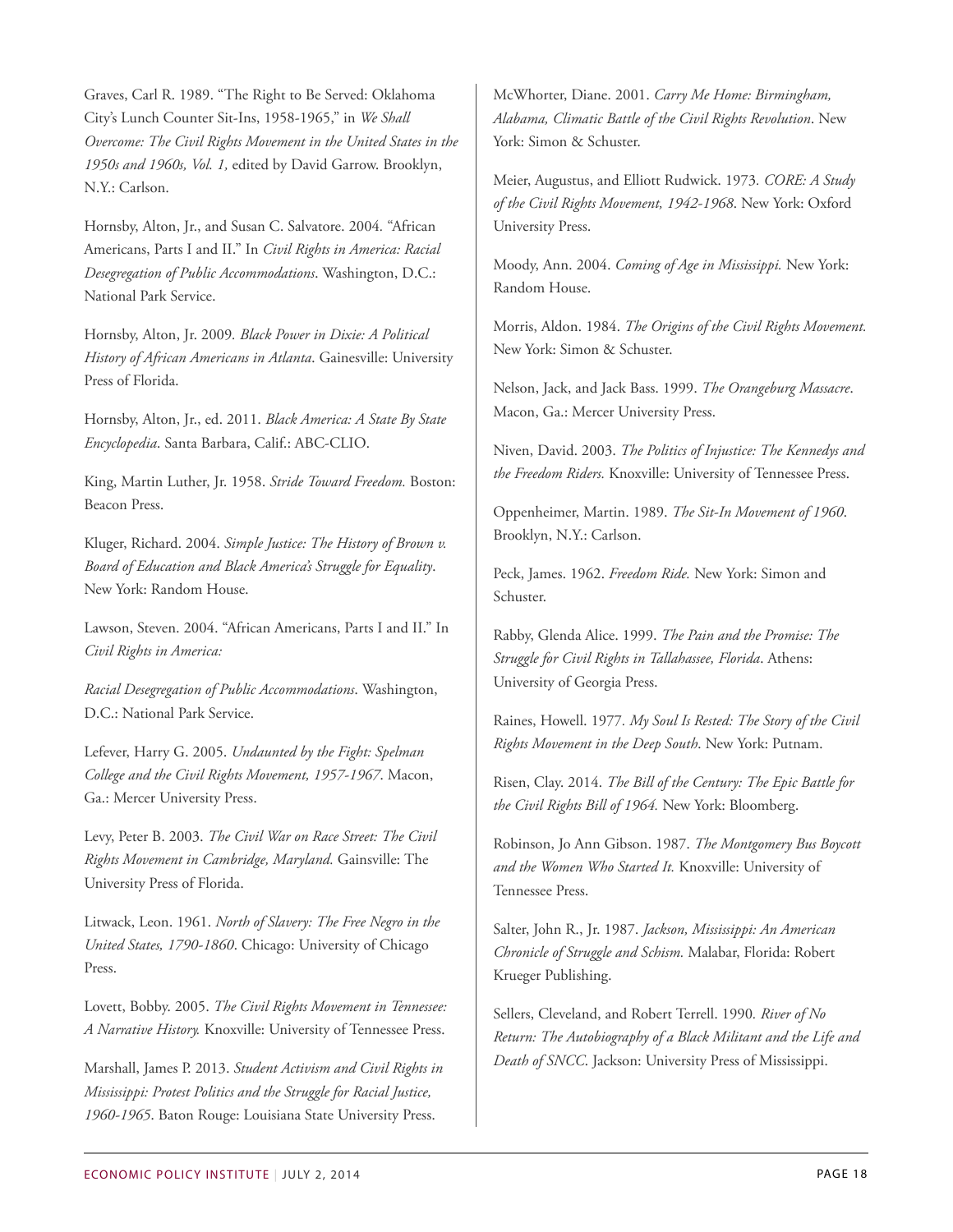Graves, Carl R. 1989. "The Right to Be Served: Oklahoma City's Lunch Counter Sit-Ins, 1958-1965," in *We Shall Overcome: The Civil Rights Movement in the United States in the 1950s and 1960s, Vol. 1,* edited by David Garrow. Brooklyn, N.Y.: Carlson.

Hornsby, Alton, Jr., and Susan C. Salvatore. 2004*.* "African Americans, Parts I and II." In *Civil Rights in America: Racial Desegregation of Public Accommodations*. Washington, D.C.: National Park Service.

Hornsby, Alton, Jr. 2009*. Black Power in Dixie: A Political History of African Americans in Atlanta*. Gainesville: University Press of Florida.

Hornsby, Alton, Jr., ed. 2011. *Black America: A State By State Encyclopedia*. Santa Barbara, Calif.: ABC-CLIO.

King, Martin Luther, Jr. 1958. *Stride Toward Freedom.* Boston: Beacon Press.

Kluger, Richard. 2004. *Simple Justice: The History of Brown v. Board of Education and Black America's Struggle for Equality*. New York: Random House.

Lawson, Steven. 2004. "African Americans, Parts I and II." In *Civil Rights in America:*

*Racial Desegregation of Public Accommodations*. Washington, D.C.: National Park Service.

Lefever, Harry G. 2005. *Undaunted by the Fight: Spelman College and the Civil Rights Movement, 1957-1967*. Macon, Ga.: Mercer University Press.

Levy, Peter B. 2003. *The Civil War on Race Street: The Civil Rights Movement in Cambridge, Maryland.* Gainsville: The University Press of Florida.

Litwack, Leon. 1961. *North of Slavery: The Free Negro in the United States, 1790-1860*. Chicago: University of Chicago Press.

Lovett, Bobby. 2005. *The Civil Rights Movement in Tennessee: A Narrative History.* Knoxville: University of Tennessee Press.

Marshall, James P. 2013. *Student Activism and Civil Rights in Mississippi: Protest Politics and the Struggle for Racial Justice, 1960-1965*. Baton Rouge: Louisiana State University Press.

McWhorter, Diane. 2001. *Carry Me Home: Birmingham, Alabama, Climatic Battle of the Civil Rights Revolution*. New York: Simon & Schuster.

Meier, Augustus, and Elliott Rudwick. 1973*. CORE: A Study of the Civil Rights Movement, 1942-1968*. New York: Oxford University Press.

Moody, Ann. 2004. *Coming of Age in Mississippi.* New York: Random House.

Morris, Aldon. 1984. *The Origins of the Civil Rights Movement.* New York: Simon & Schuster.

Nelson, Jack, and Jack Bass. 1999. *The Orangeburg Massacre*. Macon, Ga.: Mercer University Press.

Niven, David. 2003. *The Politics of Injustice: The Kennedys and the Freedom Riders.* Knoxville: University of Tennessee Press.

Oppenheimer, Martin. 1989. *The Sit-In Movement of 1960*. Brooklyn, N.Y.: Carlson.

Peck, James. 1962. *Freedom Ride.* New York: Simon and Schuster.

Rabby, Glenda Alice. 1999. *The Pain and the Promise: The Struggle for Civil Rights in Tallahassee, Florida*. Athens: University of Georgia Press.

Raines, Howell. 1977*. My Soul Is Rested: The Story of the Civil Rights Movement in the Deep South*. New York: Putnam.

Risen, Clay. 2014. *The Bill of the Century: The Epic Battle for the Civil Rights Bill of 1964.* New York: Bloomberg.

Robinson, Jo Ann Gibson. 1987. *The Montgomery Bus Boycott and the Women Who Started It.* Knoxville: University of Tennessee Press.

Salter, John R., Jr. 1987. *Jackson, Mississippi: An American Chronicle of Struggle and Schism.* Malabar, Florida: Robert Krueger Publishing.

Sellers, Cleveland, and Robert Terrell. 1990*. River of No Return: The Autobiography of a Black Militant and the Life and Death of SNCC*. Jackson: University Press of Mississippi.